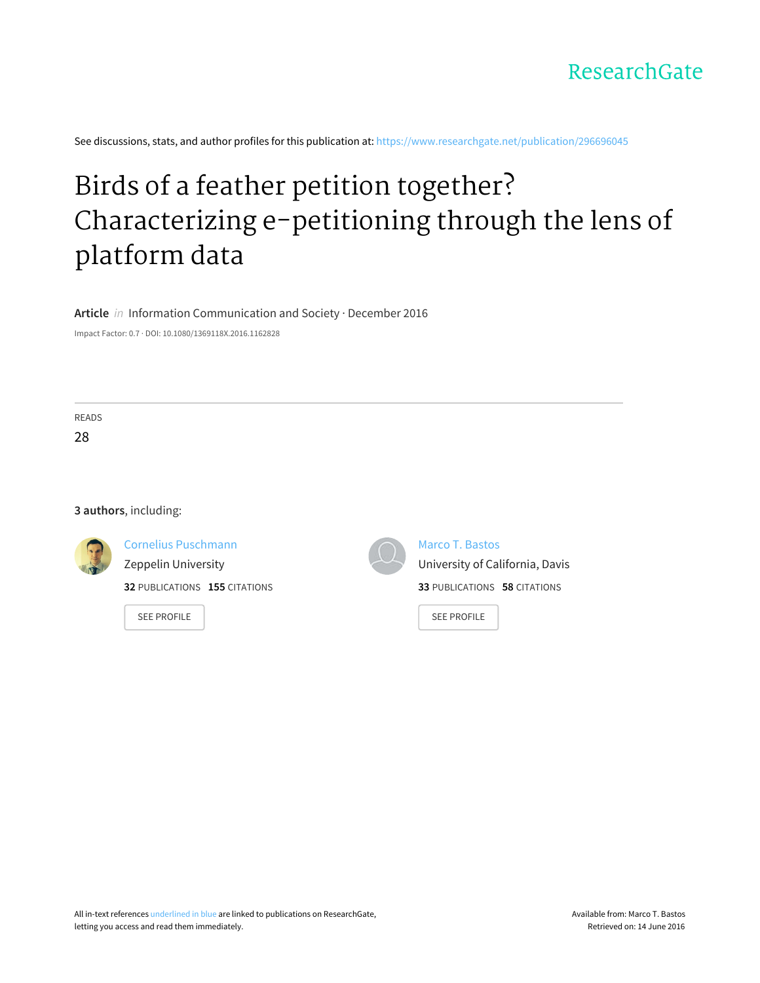See discussions, stats, and author profiles for this publication at: [https://www.researchgate.net/publication/296696045](https://www.researchgate.net/publication/296696045_Birds_of_a_feather_petition_together_Characterizing_e-petitioning_through_the_lens_of_platform_data?enrichId=rgreq-bbd46a15905916549b6b3827777e58f7-XXX&enrichSource=Y292ZXJQYWdlOzI5NjY5NjA0NTtBUzozMzU2Mjk0NzgwNTU5MzZAMTQ1NzAzMTcxMTI1Mw%3D%3D&el=1_x_2)

# Birds of a feather petition together? [Characterizing](https://www.researchgate.net/publication/296696045_Birds_of_a_feather_petition_together_Characterizing_e-petitioning_through_the_lens_of_platform_data?enrichId=rgreq-bbd46a15905916549b6b3827777e58f7-XXX&enrichSource=Y292ZXJQYWdlOzI5NjY5NjA0NTtBUzozMzU2Mjk0NzgwNTU5MzZAMTQ1NzAzMTcxMTI1Mw%3D%3D&el=1_x_3) e-petitioning through the lens of platform data

**Article** in Information Communication and Society · December 2016

Impact Factor: 0.7 · DOI: 10.1080/1369118X.2016.1162828

READS 28

#### **3 authors**, including:

Cornelius [Puschmann](https://www.researchgate.net/profile/Cornelius_Puschmann?enrichId=rgreq-bbd46a15905916549b6b3827777e58f7-XXX&enrichSource=Y292ZXJQYWdlOzI5NjY5NjA0NTtBUzozMzU2Mjk0NzgwNTU5MzZAMTQ1NzAzMTcxMTI1Mw%3D%3D&el=1_x_5)

Zeppelin [University](https://www.researchgate.net/institution/Zeppelin_University?enrichId=rgreq-bbd46a15905916549b6b3827777e58f7-XXX&enrichSource=Y292ZXJQYWdlOzI5NjY5NjA0NTtBUzozMzU2Mjk0NzgwNTU5MzZAMTQ1NzAzMTcxMTI1Mw%3D%3D&el=1_x_6)

**32** PUBLICATIONS **155** CITATIONS

SEE [PROFILE](https://www.researchgate.net/profile/Cornelius_Puschmann?enrichId=rgreq-bbd46a15905916549b6b3827777e58f7-XXX&enrichSource=Y292ZXJQYWdlOzI5NjY5NjA0NTtBUzozMzU2Mjk0NzgwNTU5MzZAMTQ1NzAzMTcxMTI1Mw%3D%3D&el=1_x_7)



Marco T. [Bastos](https://www.researchgate.net/profile/Marco_Bastos?enrichId=rgreq-bbd46a15905916549b6b3827777e58f7-XXX&enrichSource=Y292ZXJQYWdlOzI5NjY5NjA0NTtBUzozMzU2Mjk0NzgwNTU5MzZAMTQ1NzAzMTcxMTI1Mw%3D%3D&el=1_x_5)

University of [California,](https://www.researchgate.net/institution/University_of_California_Davis?enrichId=rgreq-bbd46a15905916549b6b3827777e58f7-XXX&enrichSource=Y292ZXJQYWdlOzI5NjY5NjA0NTtBUzozMzU2Mjk0NzgwNTU5MzZAMTQ1NzAzMTcxMTI1Mw%3D%3D&el=1_x_6) Davis **33** PUBLICATIONS **58** CITATIONS

SEE [PROFILE](https://www.researchgate.net/profile/Marco_Bastos?enrichId=rgreq-bbd46a15905916549b6b3827777e58f7-XXX&enrichSource=Y292ZXJQYWdlOzI5NjY5NjA0NTtBUzozMzU2Mjk0NzgwNTU5MzZAMTQ1NzAzMTcxMTI1Mw%3D%3D&el=1_x_7)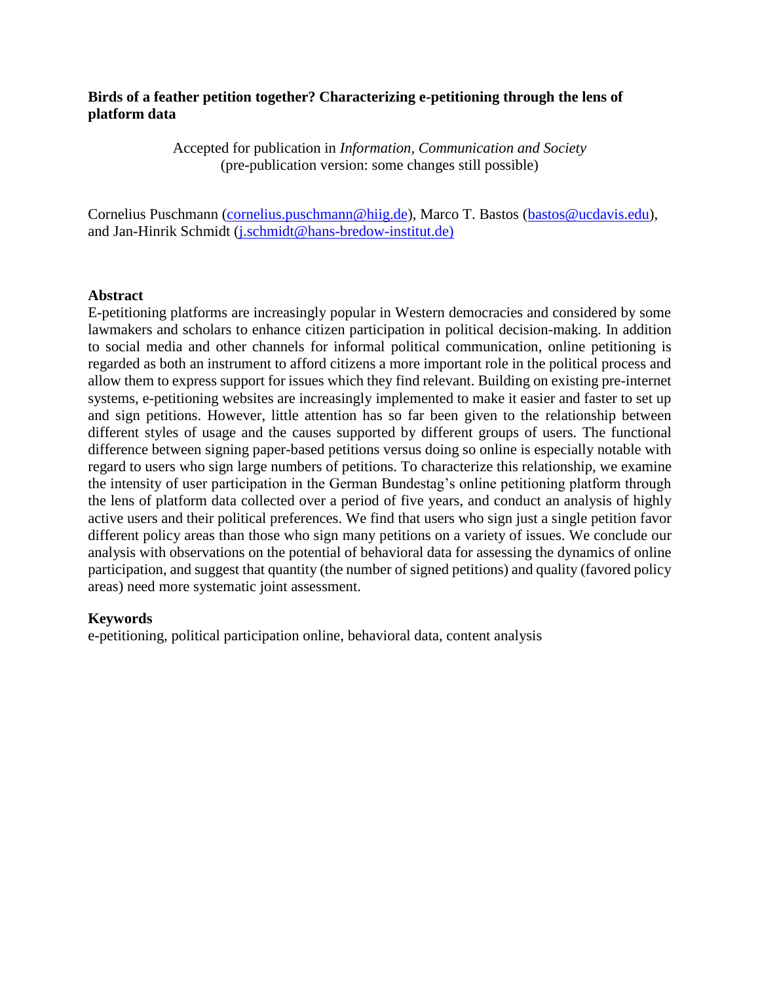## **Birds of a feather petition together? Characterizing e-petitioning through the lens of platform data**

Accepted for publication in *Information, Communication and Society* (pre-publication version: some changes still possible)

Cornelius Puschmann (*cornelius.puschmann@hiig.de*), Marco T. Bastos [\(bastos@ucdavis.edu\)](mailto:bastos@ucdavis.edu), and Jan-Hinrik Schmidt [\(j.schmidt@hans-bredow-institut.de\)](mailto:j.schmidt@hans-bredow-institut.de)

## **Abstract**

E-petitioning platforms are increasingly popular in Western democracies and considered by some lawmakers and scholars to enhance citizen participation in political decision-making. In addition to social media and other channels for informal political communication, online petitioning is regarded as both an instrument to afford citizens a more important role in the political process and allow them to express support for issues which they find relevant. Building on existing pre-internet systems, e-petitioning websites are increasingly implemented to make it easier and faster to set up and sign petitions. However, little attention has so far been given to the relationship between different styles of usage and the causes supported by different groups of users. The functional difference between signing paper-based petitions versus doing so online is especially notable with regard to users who sign large numbers of petitions. To characterize this relationship, we examine the intensity of user participation in the German Bundestag's online petitioning platform through the lens of platform data collected over a period of five years, and conduct an analysis of highly active users and their political preferences. We find that users who sign just a single petition favor different policy areas than those who sign many petitions on a variety of issues. We conclude our analysis with observations on the potential of behavioral data for assessing the dynamics of online participation, and suggest that quantity (the number of signed petitions) and quality (favored policy areas) need more systematic joint assessment.

## **Keywords**

e-petitioning, political participation online, behavioral data, content analysis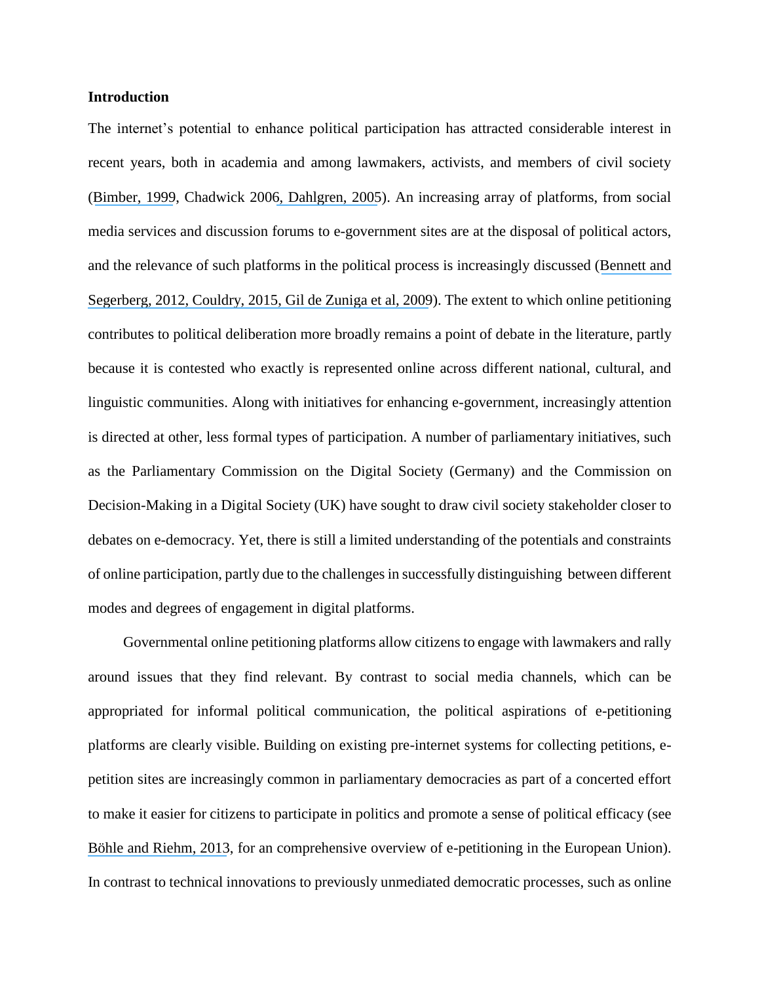## **Introduction**

The internet's potential to enhance political participation has attracted considerable interest in recent years, both in academia and among lawmakers, activists, and members of civil society ([Bimber, 1999](https://www.researchgate.net/publication/231381849_The_Internet_and_Citizen_Communication_With_Government_Does_the_Medium_Matter?el=1_x_8&enrichId=rgreq-bbd46a15905916549b6b3827777e58f7-XXX&enrichSource=Y292ZXJQYWdlOzI5NjY5NjA0NTtBUzozMzU2Mjk0NzgwNTU5MzZAMTQ1NzAzMTcxMTI1Mw==), Chadwick 200[6, Dahlgren, 2005](https://www.researchgate.net/publication/231382022_The_Internet_Public_Spheres_and_Political_Communication_Dispersion_and_Deliberation?el=1_x_8&enrichId=rgreq-bbd46a15905916549b6b3827777e58f7-XXX&enrichSource=Y292ZXJQYWdlOzI5NjY5NjA0NTtBUzozMzU2Mjk0NzgwNTU5MzZAMTQ1NzAzMTcxMTI1Mw==)). An increasing array of platforms, from social media services and discussion forums to e-government sites are at the disposal of political actors, and the relevance of such platforms in the political process is increasingly discussed ([Bennett and](https://www.researchgate.net/publication/287393379_The_logic_of_connective_action_Digital_media_and_the_personalization_of_contentious_politics?el=1_x_8&enrichId=rgreq-bbd46a15905916549b6b3827777e58f7-XXX&enrichSource=Y292ZXJQYWdlOzI5NjY5NjA0NTtBUzozMzU2Mjk0NzgwNTU5MzZAMTQ1NzAzMTcxMTI1Mw==) [Segerberg, 2012](https://www.researchgate.net/publication/287393379_The_logic_of_connective_action_Digital_media_and_the_personalization_of_contentious_politics?el=1_x_8&enrichId=rgreq-bbd46a15905916549b6b3827777e58f7-XXX&enrichSource=Y292ZXJQYWdlOzI5NjY5NjA0NTtBUzozMzU2Mjk0NzgwNTU5MzZAMTQ1NzAzMTcxMTI1Mw==)[, Couldry, 2015](https://www.researchgate.net/publication/274098889_The_myth_of_)[, Gil de Zuniga et al, 2009](https://www.researchgate.net/publication/235338021_Weblogs_Traditional_Sources_Online_and_Political_Participation_An_Assessment_of_How_the_Internet_Is_Changing_the_Political_Environment?el=1_x_8&enrichId=rgreq-bbd46a15905916549b6b3827777e58f7-XXX&enrichSource=Y292ZXJQYWdlOzI5NjY5NjA0NTtBUzozMzU2Mjk0NzgwNTU5MzZAMTQ1NzAzMTcxMTI1Mw==)). The extent to which online petitioning contributes to political deliberation more broadly remains a point of debate in the literature, partly because it is contested who exactly is represented online across different national, cultural, and linguistic communities. Along with initiatives for enhancing e-government, increasingly attention is directed at other, less formal types of participation. A number of parliamentary initiatives, such as the Parliamentary Commission on the Digital Society (Germany) and the Commission on Decision-Making in a Digital Society (UK) have sought to draw civil society stakeholder closer to debates on e-democracy. Yet, there is still a limited understanding of the potentials and constraints of online participation, partly due to the challenges in successfully distinguishing between different modes and degrees of engagement in digital platforms.

Governmental online petitioning platforms allow citizens to engage with lawmakers and rally around issues that they find relevant. By contrast to social media channels, which can be appropriated for informal political communication, the political aspirations of e-petitioning platforms are clearly visible. Building on existing pre-internet systems for collecting petitions, epetition sites are increasingly common in parliamentary democracies as part of a concerted effort to make it easier for citizens to participate in politics and promote a sense of political efficacy (see [Böhle and Riehm, 2013](https://www.researchgate.net/publication/250612263_E-petition_systems_and_political_participation_About_institutional_challenges_and_democratic_opportunities?el=1_x_8&enrichId=rgreq-bbd46a15905916549b6b3827777e58f7-XXX&enrichSource=Y292ZXJQYWdlOzI5NjY5NjA0NTtBUzozMzU2Mjk0NzgwNTU5MzZAMTQ1NzAzMTcxMTI1Mw==), for an comprehensive overview of e-petitioning in the European Union). In contrast to technical innovations to previously unmediated democratic processes, such as online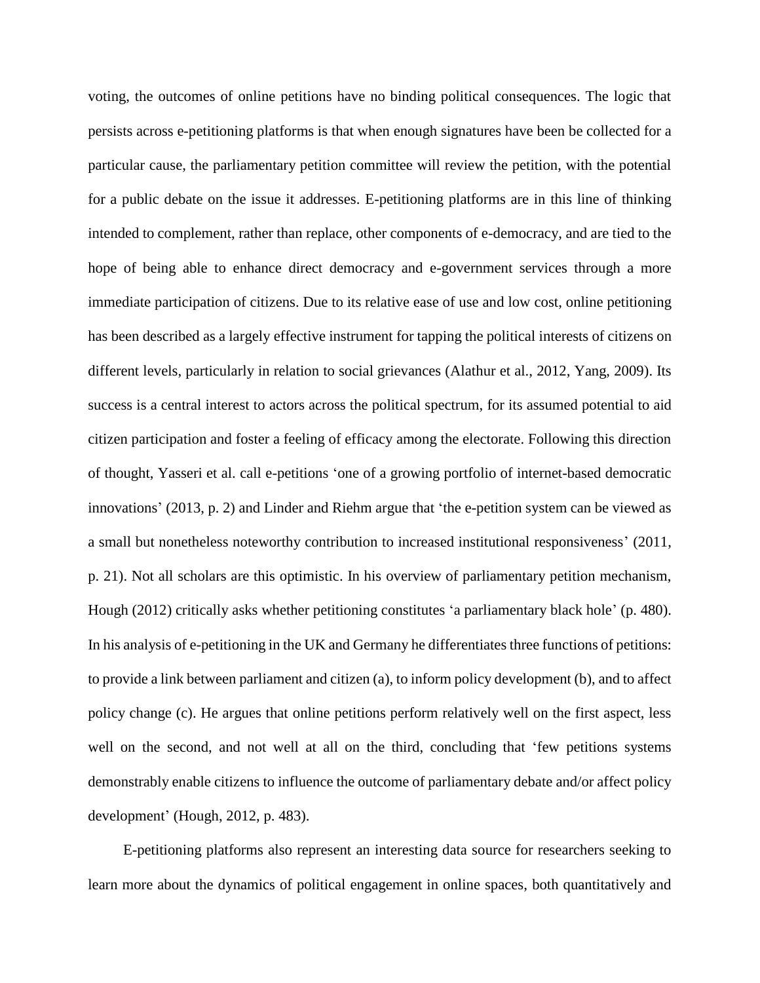voting, the outcomes of online petitions have no binding political consequences. The logic that persists across e-petitioning platforms is that when enough signatures have been be collected for a particular cause, the parliamentary petition committee will review the petition, with the potential for a public debate on the issue it addresses. E-petitioning platforms are in this line of thinking intended to complement, rather than replace, other components of e-democracy, and are tied to the hope of being able to enhance direct democracy and e-government services through a more immediate participation of citizens. Due to its relative ease of use and low cost, online petitioning has been described as a largely effective instrument for tapping the political interests of citizens on different levels, particularly in relation to social grievances (Alathur et al., 2012, Yang, 2009). Its success is a central interest to actors across the political spectrum, for its assumed potential to aid citizen participation and foster a feeling of efficacy among the electorate. Following this direction of thought, Yasseri et al. call e-petitions 'one of a growing portfolio of internet-based democratic innovations' (2013, p. 2) and Linder and Riehm argue that 'the e-petition system can be viewed as a small but nonetheless noteworthy contribution to increased institutional responsiveness' (2011, p. 21). Not all scholars are this optimistic. In his overview of parliamentary petition mechanism, Hough (2012) critically asks whether petitioning constitutes 'a parliamentary black hole' (p. 480). In his analysis of e-petitioning in the UK and Germany he differentiates three functions of petitions: to provide a link between parliament and citizen (a), to inform policy development (b), and to affect policy change (c). He argues that online petitions perform relatively well on the first aspect, less well on the second, and not well at all on the third, concluding that 'few petitions systems demonstrably enable citizens to influence the outcome of parliamentary debate and/or affect policy development' (Hough, 2012, p. 483).

E-petitioning platforms also represent an interesting data source for researchers seeking to learn more about the dynamics of political engagement in online spaces, both quantitatively and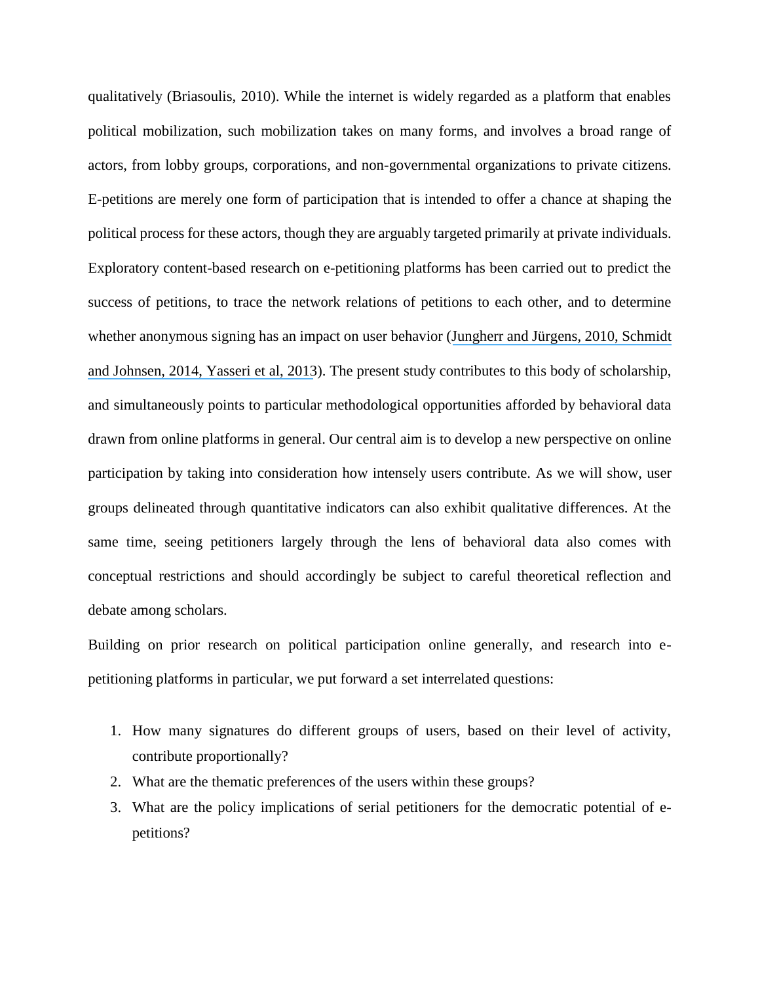qualitatively (Briasoulis, 2010). While the internet is widely regarded as a platform that enables political mobilization, such mobilization takes on many forms, and involves a broad range of actors, from lobby groups, corporations, and non-governmental organizations to private citizens. E-petitions are merely one form of participation that is intended to offer a chance at shaping the political process for these actors, though they are arguably targeted primarily at private individuals. Exploratory content-based research on e-petitioning platforms has been carried out to predict the success of petitions, to trace the network relations of petitions to each other, and to determine whether anonymous signing has an impact on user behavior ([Jungherr and Jürgens,](https://www.researchgate.net/publication/220006927_The_Political_Click_Political_Participation_Through_E-Petitions_in_Germany?el=1_x_8&enrichId=rgreq-bbd46a15905916549b6b3827777e58f7-XXX&enrichSource=Y292ZXJQYWdlOzI5NjY5NjA0NTtBUzozMzU2Mjk0NzgwNTU5MzZAMTQ1NzAzMTcxMTI1Mw==) 201[0, Schmidt](https://www.researchgate.net/publication/272306121_On_the_Use_of_the_E-Petition_Platform_of_the_German_Bundestag?el=1_x_8&enrichId=rgreq-bbd46a15905916549b6b3827777e58f7-XXX&enrichSource=Y292ZXJQYWdlOzI5NjY5NjA0NTtBUzozMzU2Mjk0NzgwNTU5MzZAMTQ1NzAzMTcxMTI1Mw==) [and Johnsen, 2014](https://www.researchgate.net/publication/272306121_On_the_Use_of_the_E-Petition_Platform_of_the_German_Bundestag?el=1_x_8&enrichId=rgreq-bbd46a15905916549b6b3827777e58f7-XXX&enrichSource=Y292ZXJQYWdlOzI5NjY5NjA0NTtBUzozMzU2Mjk0NzgwNTU5MzZAMTQ1NzAzMTcxMTI1Mw==)[, Yasseri et al, 2013](https://www.researchgate.net/publication/253954175_Modeling_the_Rise_in_Internet-based_Petitions?el=1_x_8&enrichId=rgreq-bbd46a15905916549b6b3827777e58f7-XXX&enrichSource=Y292ZXJQYWdlOzI5NjY5NjA0NTtBUzozMzU2Mjk0NzgwNTU5MzZAMTQ1NzAzMTcxMTI1Mw==)). The present study contributes to this body of scholarship, and simultaneously points to particular methodological opportunities afforded by behavioral data drawn from online platforms in general. Our central aim is to develop a new perspective on online participation by taking into consideration how intensely users contribute. As we will show, user groups delineated through quantitative indicators can also exhibit qualitative differences. At the same time, seeing petitioners largely through the lens of behavioral data also comes with conceptual restrictions and should accordingly be subject to careful theoretical reflection and debate among scholars.

Building on prior research on political participation online generally, and research into epetitioning platforms in particular, we put forward a set interrelated questions:

- 1. How many signatures do different groups of users, based on their level of activity, contribute proportionally?
- 2. What are the thematic preferences of the users within these groups?
- 3. What are the policy implications of serial petitioners for the democratic potential of epetitions?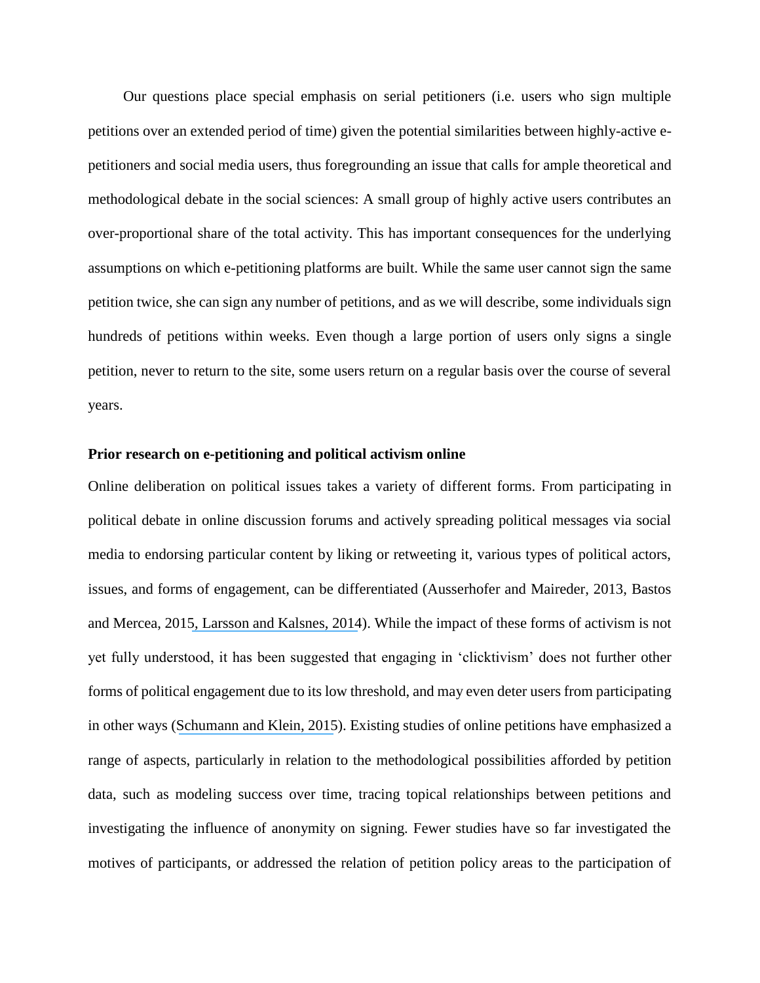Our questions place special emphasis on serial petitioners (i.e. users who sign multiple petitions over an extended period of time) given the potential similarities between highly-active epetitioners and social media users, thus foregrounding an issue that calls for ample theoretical and methodological debate in the social sciences: A small group of highly active users contributes an over-proportional share of the total activity. This has important consequences for the underlying assumptions on which e-petitioning platforms are built. While the same user cannot sign the same petition twice, she can sign any number of petitions, and as we will describe, some individuals sign hundreds of petitions within weeks. Even though a large portion of users only signs a single petition, never to return to the site, some users return on a regular basis over the course of several years.

## **Prior research on e-petitioning and political activism online**

Online deliberation on political issues takes a variety of different forms. From participating in political debate in online discussion forums and actively spreading political messages via social media to endorsing particular content by liking or retweeting it, various types of political actors, issues, and forms of engagement, can be differentiated (Ausserhofer and Maireder, 2013, Bastos and Mercea, 201[5, Larsson and Kalsnes, 2014](https://www.researchgate.net/publication/275458120_)). While the impact of these forms of activism is not yet fully understood, it has been suggested that engaging in 'clicktivism' does not further other forms of political engagement due to its low threshold, and may even deter users from participating in other ways ([Schumann and Klein, 2015](https://www.researchgate.net/publication/269274696_Substitute_or_stepping_stone_Assessing_the_impact_of_low-threshold_online_collective_actions_on_offline_participation_Substitute_or_stepping_stone?el=1_x_8&enrichId=rgreq-bbd46a15905916549b6b3827777e58f7-XXX&enrichSource=Y292ZXJQYWdlOzI5NjY5NjA0NTtBUzozMzU2Mjk0NzgwNTU5MzZAMTQ1NzAzMTcxMTI1Mw==)). Existing studies of online petitions have emphasized a range of aspects, particularly in relation to the methodological possibilities afforded by petition data, such as modeling success over time, tracing topical relationships between petitions and investigating the influence of anonymity on signing. Fewer studies have so far investigated the motives of participants, or addressed the relation of petition policy areas to the participation of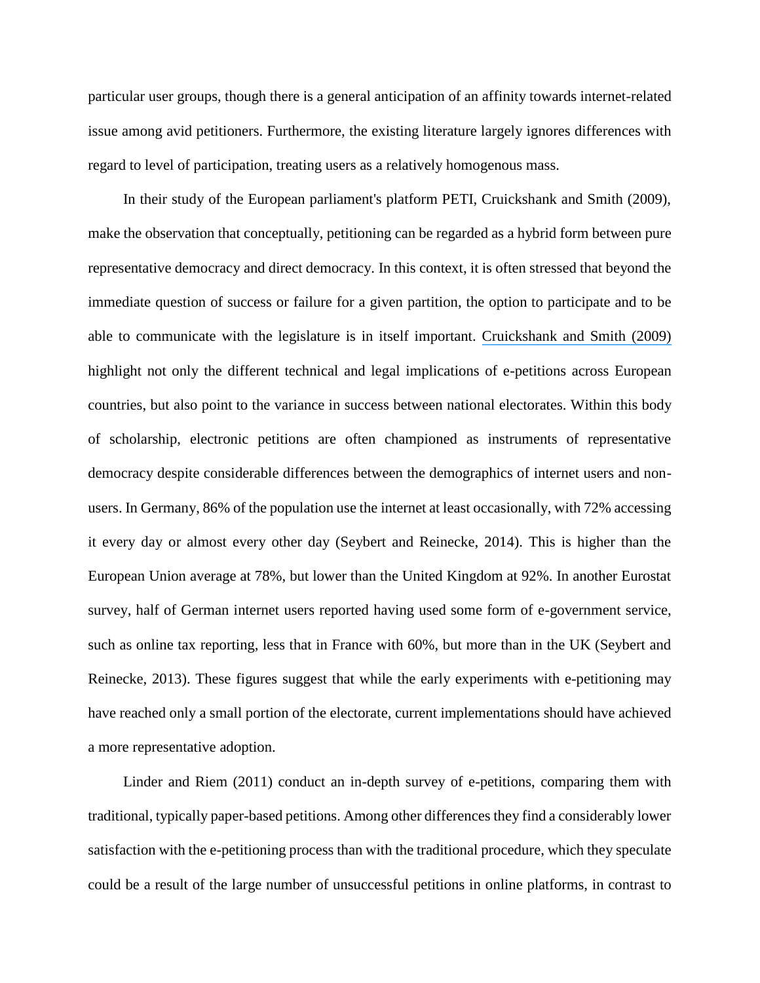particular user groups, though there is a general anticipation of an affinity towards internet-related issue among avid petitioners. Furthermore, the existing literature largely ignores differences with regard to level of participation, treating users as a relatively homogenous mass.

In their study of the European parliament's platform PETI, Cruickshank and Smith (2009), make the observation that conceptually, petitioning can be regarded as a hybrid form between pure representative democracy and direct democracy. In this context, it is often stressed that beyond the immediate question of success or failure for a given partition, the option to participate and to be able to communicate with the legislature is in itself important. [Cruickshank and Smith \(2009\)](https://www.researchgate.net/publication/252161670_SELF-EFFICACY_AS_A_FACTOR_IN_THE_EVALUATION_OF_E-PETITIONS?el=1_x_8&enrichId=rgreq-bbd46a15905916549b6b3827777e58f7-XXX&enrichSource=Y292ZXJQYWdlOzI5NjY5NjA0NTtBUzozMzU2Mjk0NzgwNTU5MzZAMTQ1NzAzMTcxMTI1Mw==)  highlight not only the different technical and legal implications of e-petitions across European countries, but also point to the variance in success between national electorates. Within this body of scholarship, electronic petitions are often championed as instruments of representative democracy despite considerable differences between the demographics of internet users and nonusers. In Germany, 86% of the population use the internet at least occasionally, with 72% accessing it every day or almost every other day (Seybert and Reinecke, 2014). This is higher than the European Union average at 78%, but lower than the United Kingdom at 92%. In another Eurostat survey, half of German internet users reported having used some form of e-government service, such as online tax reporting, less that in France with 60%, but more than in the UK (Seybert and Reinecke, 2013). These figures suggest that while the early experiments with e-petitioning may have reached only a small portion of the electorate, current implementations should have achieved a more representative adoption.

Linder and Riem (2011) conduct an in-depth survey of e-petitions, comparing them with traditional, typically paper-based petitions. Among other differences they find a considerably lower satisfaction with the e-petitioning process than with the traditional procedure, which they speculate could be a result of the large number of unsuccessful petitions in online platforms, in contrast to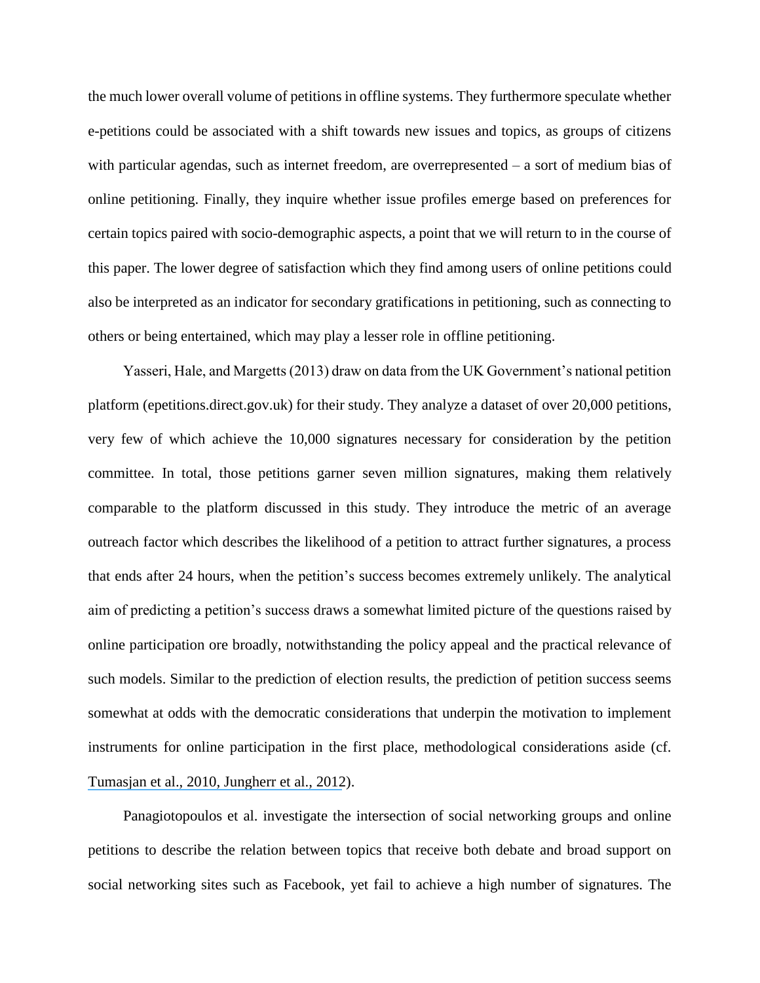the much lower overall volume of petitions in offline systems. They furthermore speculate whether e-petitions could be associated with a shift towards new issues and topics, as groups of citizens with particular agendas, such as internet freedom, are overrepresented – a sort of medium bias of online petitioning. Finally, they inquire whether issue profiles emerge based on preferences for certain topics paired with socio-demographic aspects, a point that we will return to in the course of this paper. The lower degree of satisfaction which they find among users of online petitions could also be interpreted as an indicator for secondary gratifications in petitioning, such as connecting to others or being entertained, which may play a lesser role in offline petitioning.

Yasseri, Hale, and Margetts (2013) draw on data from the UK Government's national petition platform (epetitions.direct.gov.uk) for their study. They analyze a dataset of over 20,000 petitions, very few of which achieve the 10,000 signatures necessary for consideration by the petition committee. In total, those petitions garner seven million signatures, making them relatively comparable to the platform discussed in this study. They introduce the metric of an average outreach factor which describes the likelihood of a petition to attract further signatures, a process that ends after 24 hours, when the petition's success becomes extremely unlikely. The analytical aim of predicting a petition's success draws a somewhat limited picture of the questions raised by online participation ore broadly, notwithstanding the policy appeal and the practical relevance of such models. Similar to the prediction of election results, the prediction of petition success seems somewhat at odds with the democratic considerations that underpin the motivation to implement instruments for online participation in the first place, methodological considerations aside (cf. [Tumasjan et al., 2010](https://www.researchgate.net/publication/215776042_Predicting_Elections_with_Twitter_What_140_Characters_Reveal_about_Political_Sentiment?el=1_x_8&enrichId=rgreq-bbd46a15905916549b6b3827777e58f7-XXX&enrichSource=Y292ZXJQYWdlOzI5NjY5NjA0NTtBUzozMzU2Mjk0NzgwNTU5MzZAMTQ1NzAzMTcxMTI1Mw==)[, Jungherr](https://www.researchgate.net/publication/220006925_Why_the_Pirate_Party_Won_the_German_Election_of_2009_or_The_Trouble_With_Predictions_A_Response_to_Tumasjan_A_Sprenger_TO_Sander_PG_Welpe_IM_Predicting_Elections_With_Twitter_What_140_Characters_Revea?el=1_x_8&enrichId=rgreq-bbd46a15905916549b6b3827777e58f7-XXX&enrichSource=Y292ZXJQYWdlOzI5NjY5NjA0NTtBUzozMzU2Mjk0NzgwNTU5MzZAMTQ1NzAzMTcxMTI1Mw==) et al., 2012).

Panagiotopoulos et al. investigate the intersection of social networking groups and online petitions to describe the relation between topics that receive both debate and broad support on social networking sites such as Facebook, yet fail to achieve a high number of signatures. The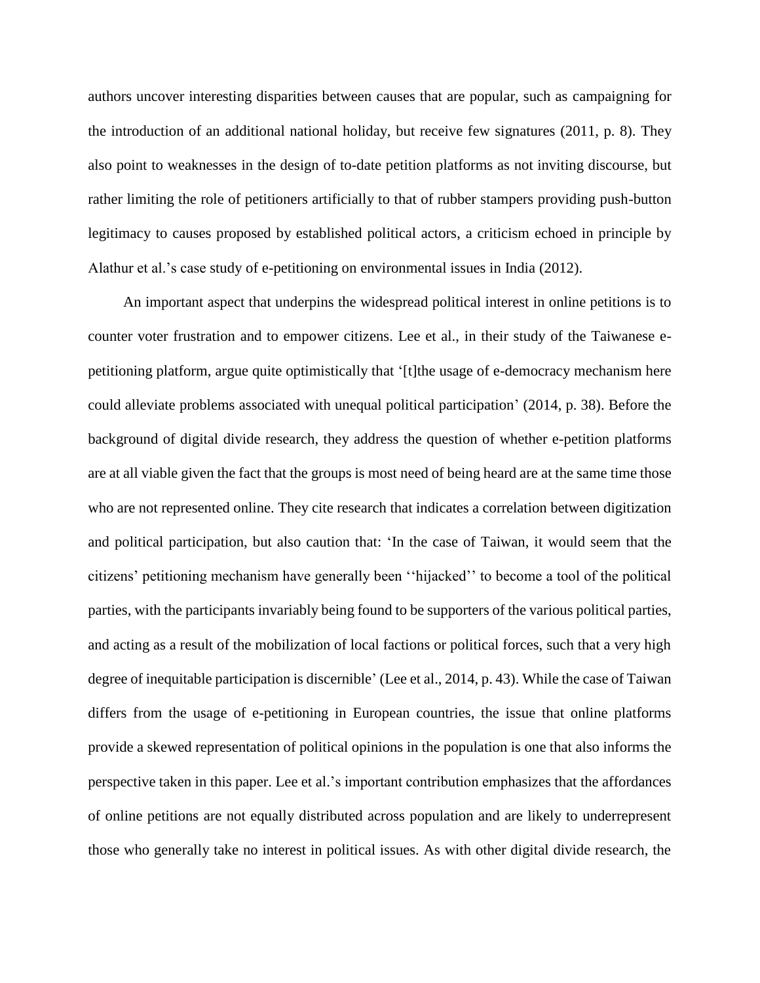authors uncover interesting disparities between causes that are popular, such as campaigning for the introduction of an additional national holiday, but receive few signatures (2011, p. 8). They also point to weaknesses in the design of to-date petition platforms as not inviting discourse, but rather limiting the role of petitioners artificially to that of rubber stampers providing push-button legitimacy to causes proposed by established political actors, a criticism echoed in principle by Alathur et al.'s case study of e-petitioning on environmental issues in India (2012).

An important aspect that underpins the widespread political interest in online petitions is to counter voter frustration and to empower citizens. Lee et al., in their study of the Taiwanese epetitioning platform, argue quite optimistically that '[t]the usage of e-democracy mechanism here could alleviate problems associated with unequal political participation' (2014, p. 38). Before the background of digital divide research, they address the question of whether e-petition platforms are at all viable given the fact that the groups is most need of being heard are at the same time those who are not represented online. They cite research that indicates a correlation between digitization and political participation, but also caution that: 'In the case of Taiwan, it would seem that the citizens' petitioning mechanism have generally been ''hijacked'' to become a tool of the political parties, with the participants invariably being found to be supporters of the various political parties, and acting as a result of the mobilization of local factions or political forces, such that a very high degree of inequitable participation is discernible' (Lee et al., 2014, p. 43). While the case of Taiwan differs from the usage of e-petitioning in European countries, the issue that online platforms provide a skewed representation of political opinions in the population is one that also informs the perspective taken in this paper. Lee et al.'s important contribution emphasizes that the affordances of online petitions are not equally distributed across population and are likely to underrepresent those who generally take no interest in political issues. As with other digital divide research, the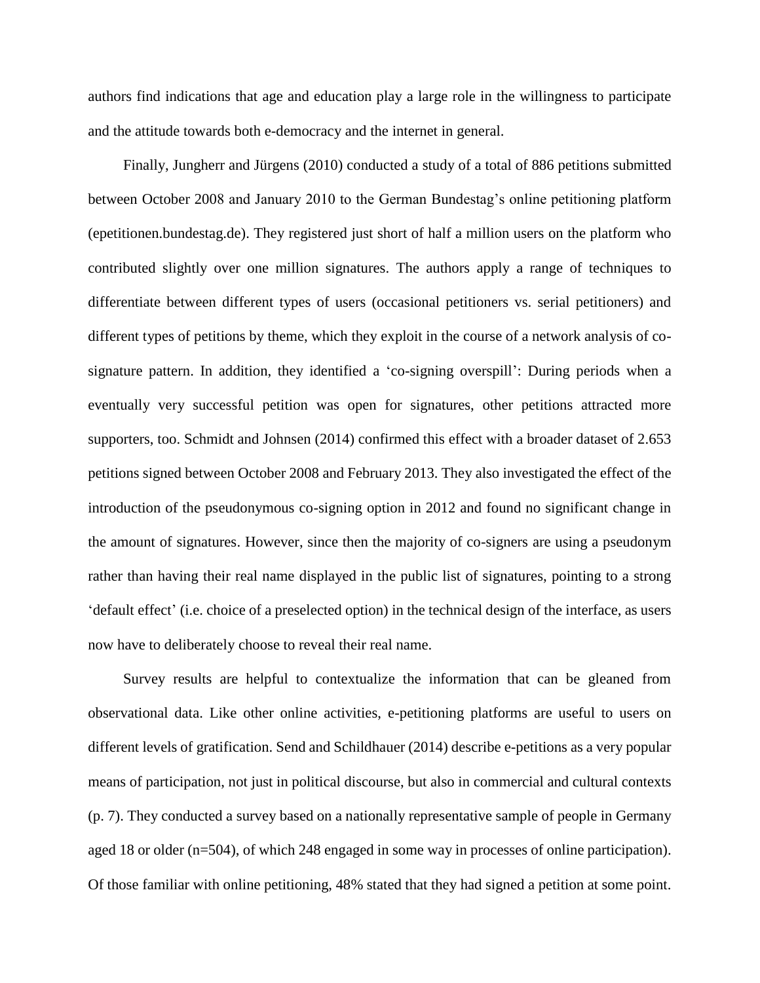authors find indications that age and education play a large role in the willingness to participate and the attitude towards both e-democracy and the internet in general.

Finally, Jungherr and Jürgens (2010) conducted a study of a total of 886 petitions submitted between October 2008 and January 2010 to the German Bundestag's online petitioning platform (epetitionen.bundestag.de). They registered just short of half a million users on the platform who contributed slightly over one million signatures. The authors apply a range of techniques to differentiate between different types of users (occasional petitioners vs. serial petitioners) and different types of petitions by theme, which they exploit in the course of a network analysis of cosignature pattern. In addition, they identified a 'co-signing overspill': During periods when a eventually very successful petition was open for signatures, other petitions attracted more supporters, too. Schmidt and Johnsen (2014) confirmed this effect with a broader dataset of 2.653 petitions signed between October 2008 and February 2013. They also investigated the effect of the introduction of the pseudonymous co-signing option in 2012 and found no significant change in the amount of signatures. However, since then the majority of co-signers are using a pseudonym rather than having their real name displayed in the public list of signatures, pointing to a strong 'default effect' (i.e. choice of a preselected option) in the technical design of the interface, as users now have to deliberately choose to reveal their real name.

Survey results are helpful to contextualize the information that can be gleaned from observational data. Like other online activities, e-petitioning platforms are useful to users on different levels of gratification. Send and Schildhauer (2014) describe e-petitions as a very popular means of participation, not just in political discourse, but also in commercial and cultural contexts (p. 7). They conducted a survey based on a nationally representative sample of people in Germany aged 18 or older (n=504), of which 248 engaged in some way in processes of online participation). Of those familiar with online petitioning, 48% stated that they had signed a petition at some point.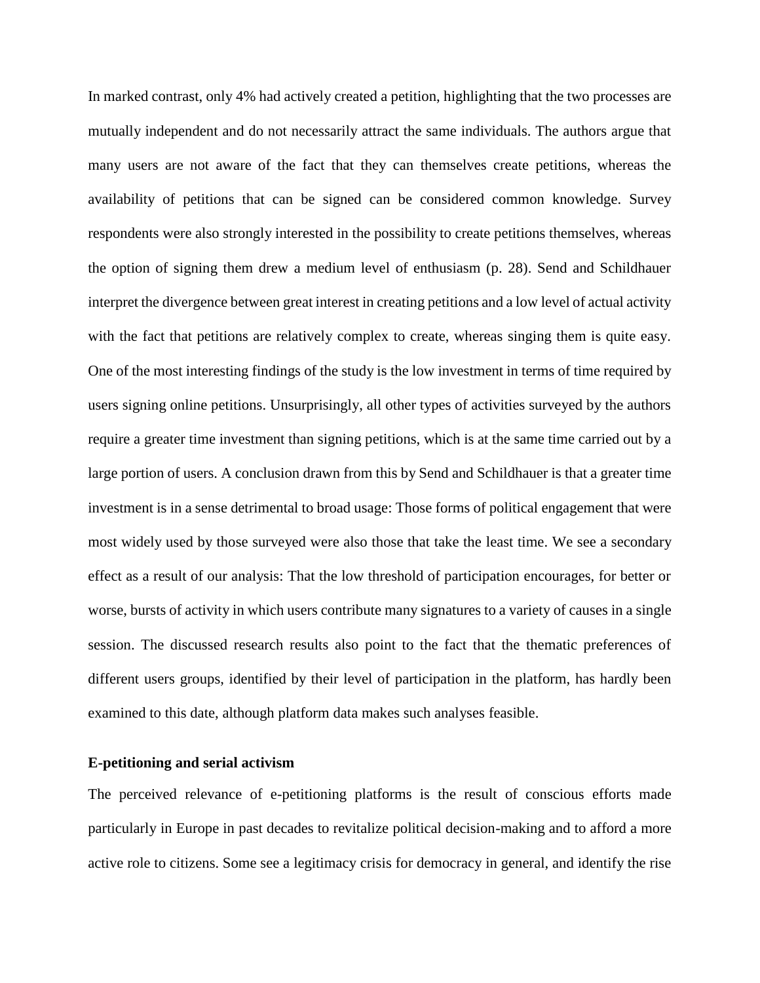In marked contrast, only 4% had actively created a petition, highlighting that the two processes are mutually independent and do not necessarily attract the same individuals. The authors argue that many users are not aware of the fact that they can themselves create petitions, whereas the availability of petitions that can be signed can be considered common knowledge. Survey respondents were also strongly interested in the possibility to create petitions themselves, whereas the option of signing them drew a medium level of enthusiasm (p. 28). Send and Schildhauer interpret the divergence between great interest in creating petitions and a low level of actual activity with the fact that petitions are relatively complex to create, whereas singing them is quite easy. One of the most interesting findings of the study is the low investment in terms of time required by users signing online petitions. Unsurprisingly, all other types of activities surveyed by the authors require a greater time investment than signing petitions, which is at the same time carried out by a large portion of users. A conclusion drawn from this by Send and Schildhauer is that a greater time investment is in a sense detrimental to broad usage: Those forms of political engagement that were most widely used by those surveyed were also those that take the least time. We see a secondary effect as a result of our analysis: That the low threshold of participation encourages, for better or worse, bursts of activity in which users contribute many signatures to a variety of causes in a single session. The discussed research results also point to the fact that the thematic preferences of different users groups, identified by their level of participation in the platform, has hardly been examined to this date, although platform data makes such analyses feasible.

#### **E-petitioning and serial activism**

The perceived relevance of e-petitioning platforms is the result of conscious efforts made particularly in Europe in past decades to revitalize political decision-making and to afford a more active role to citizens. Some see a legitimacy crisis for democracy in general, and identify the rise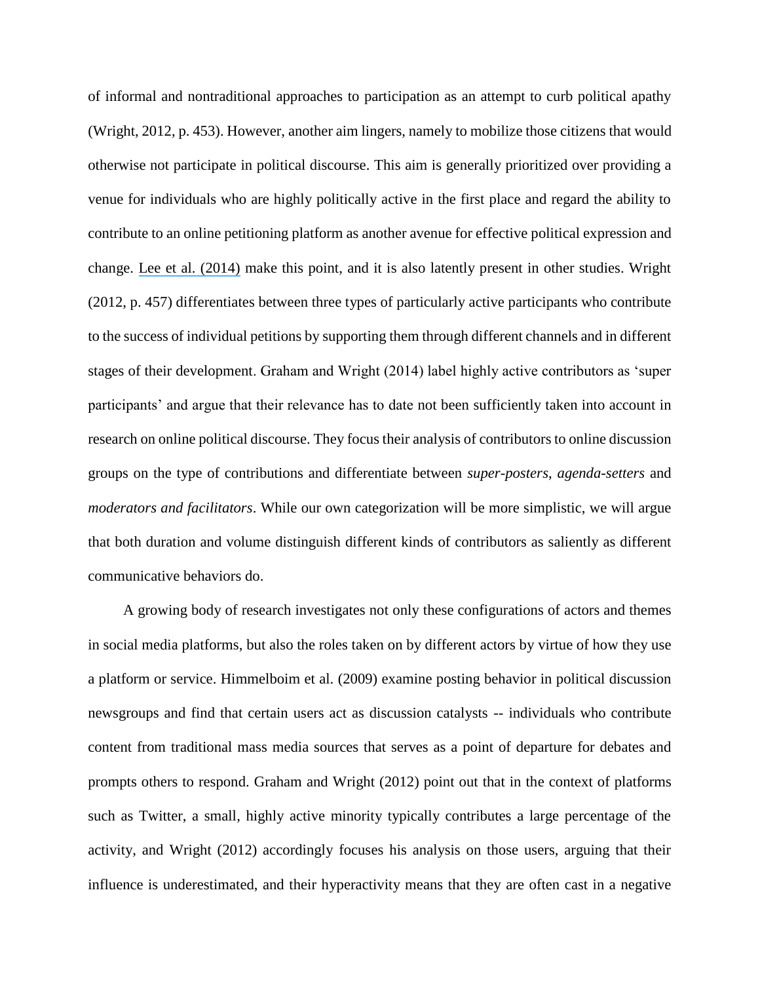of informal and nontraditional approaches to participation as an attempt to curb political apathy (Wright, 2012, p. 453). However, another aim lingers, namely to mobilize those citizens that would otherwise not participate in political discourse. This aim is generally prioritized over providing a venue for individuals who are highly politically active in the first place and regard the ability to contribute to an online petitioning platform as another avenue for effective political expression and change. [Lee et al. \(2014\)](https://www.researchgate.net/publication/261960609_The_Interplay_Between_Digital_and_Political_Divides_The_Case_of_e-Petitioning_in_Taiwan?el=1_x_8&enrichId=rgreq-bbd46a15905916549b6b3827777e58f7-XXX&enrichSource=Y292ZXJQYWdlOzI5NjY5NjA0NTtBUzozMzU2Mjk0NzgwNTU5MzZAMTQ1NzAzMTcxMTI1Mw==) make this point, and it is also latently present in other studies. Wright (2012, p. 457) differentiates between three types of particularly active participants who contribute to the success of individual petitions by supporting them through different channels and in different stages of their development. Graham and Wright (2014) label highly active contributors as 'super participants' and argue that their relevance has to date not been sufficiently taken into account in research on online political discourse. They focus their analysis of contributors to online discussion groups on the type of contributions and differentiate between *super-posters*, *agenda-setters* and *moderators and facilitators*. While our own categorization will be more simplistic, we will argue that both duration and volume distinguish different kinds of contributors as saliently as different communicative behaviors do.

A growing body of research investigates not only these configurations of actors and themes in social media platforms, but also the roles taken on by different actors by virtue of how they use a platform or service. Himmelboim et al. (2009) examine posting behavior in political discussion newsgroups and find that certain users act as discussion catalysts -- individuals who contribute content from traditional mass media sources that serves as a point of departure for debates and prompts others to respond. Graham and Wright (2012) point out that in the context of platforms such as Twitter, a small, highly active minority typically contributes a large percentage of the activity, and Wright (2012) accordingly focuses his analysis on those users, arguing that their influence is underestimated, and their hyperactivity means that they are often cast in a negative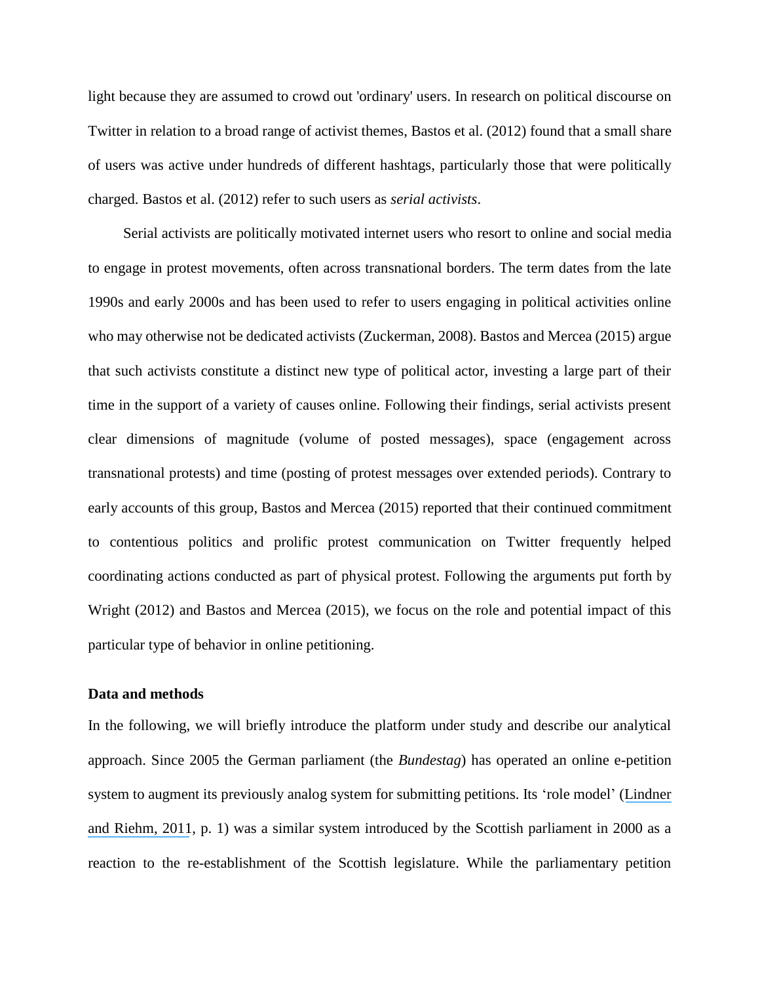light because they are assumed to crowd out 'ordinary' users. In research on political discourse on Twitter in relation to a broad range of activist themes, Bastos et al. (2012) found that a small share of users was active under hundreds of different hashtags, particularly those that were politically charged. Bastos et al. (2012) refer to such users as *serial activists*.

Serial activists are politically motivated internet users who resort to online and social media to engage in protest movements, often across transnational borders. The term dates from the late 1990s and early 2000s and has been used to refer to users engaging in political activities online who may otherwise not be dedicated activists (Zuckerman, 2008). Bastos and Mercea (2015) argue that such activists constitute a distinct new type of political actor, investing a large part of their time in the support of a variety of causes online. Following their findings, serial activists present clear dimensions of magnitude (volume of posted messages), space (engagement across transnational protests) and time (posting of protest messages over extended periods). Contrary to early accounts of this group, Bastos and Mercea (2015) reported that their continued commitment to contentious politics and prolific protest communication on Twitter frequently helped coordinating actions conducted as part of physical protest. Following the arguments put forth by Wright (2012) and Bastos and Mercea (2015), we focus on the role and potential impact of this particular type of behavior in online petitioning.

#### **Data and methods**

In the following, we will briefly introduce the platform under study and describe our analytical approach. Since 2005 the German parliament (the *Bundestag*) has operated an online e-petition system to augment its previously analog system for submitting petitions. Its 'role model' ([Lindner](https://www.researchgate.net/publication/229046187_Broadening_Participation_Through_E-Petitions_An_Empirical_Study_of_Petitions_to_the_German_Parliament?el=1_x_8&enrichId=rgreq-bbd46a15905916549b6b3827777e58f7-XXX&enrichSource=Y292ZXJQYWdlOzI5NjY5NjA0NTtBUzozMzU2Mjk0NzgwNTU5MzZAMTQ1NzAzMTcxMTI1Mw==) [and Riehm, 2011](https://www.researchgate.net/publication/229046187_Broadening_Participation_Through_E-Petitions_An_Empirical_Study_of_Petitions_to_the_German_Parliament?el=1_x_8&enrichId=rgreq-bbd46a15905916549b6b3827777e58f7-XXX&enrichSource=Y292ZXJQYWdlOzI5NjY5NjA0NTtBUzozMzU2Mjk0NzgwNTU5MzZAMTQ1NzAzMTcxMTI1Mw==), p. 1) was a similar system introduced by the Scottish parliament in 2000 as a reaction to the re-establishment of the Scottish legislature. While the parliamentary petition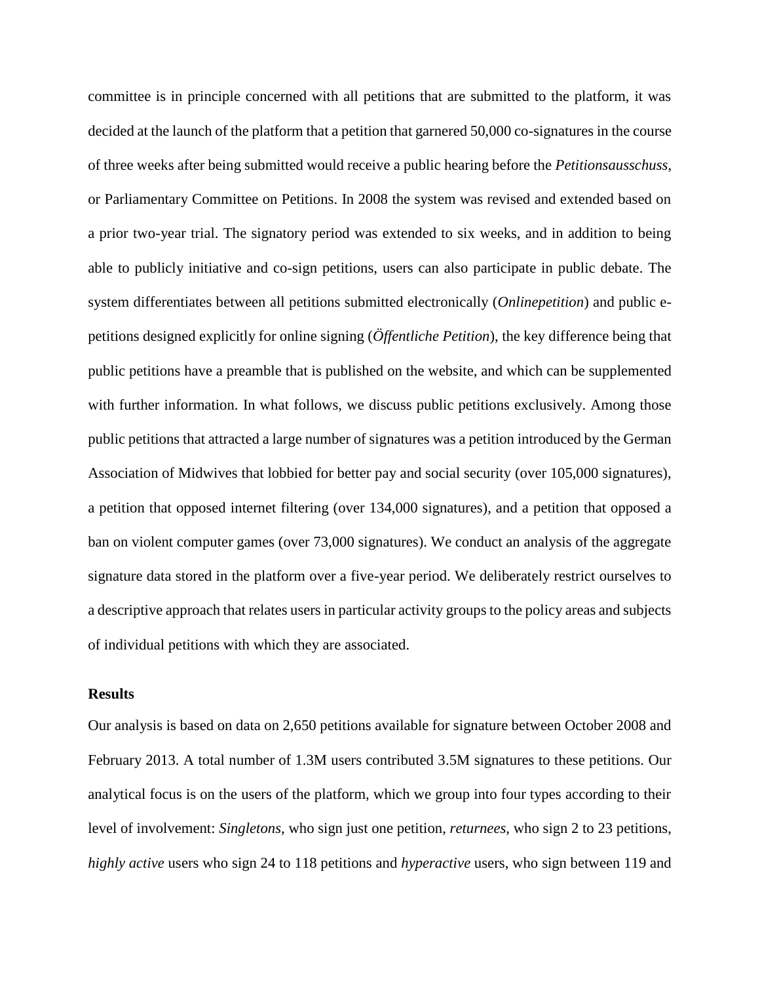committee is in principle concerned with all petitions that are submitted to the platform, it was decided at the launch of the platform that a petition that garnered 50,000 co-signatures in the course of three weeks after being submitted would receive a public hearing before the *Petitionsausschuss*, or Parliamentary Committee on Petitions. In 2008 the system was revised and extended based on a prior two-year trial. The signatory period was extended to six weeks, and in addition to being able to publicly initiative and co-sign petitions, users can also participate in public debate. The system differentiates between all petitions submitted electronically (*Onlinepetition*) and public epetitions designed explicitly for online signing (*Öffentliche Petition*), the key difference being that public petitions have a preamble that is published on the website, and which can be supplemented with further information. In what follows, we discuss public petitions exclusively. Among those public petitions that attracted a large number of signatures was a petition introduced by the German Association of Midwives that lobbied for better pay and social security (over 105,000 signatures), a petition that opposed internet filtering (over 134,000 signatures), and a petition that opposed a ban on violent computer games (over 73,000 signatures). We conduct an analysis of the aggregate signature data stored in the platform over a five-year period. We deliberately restrict ourselves to a descriptive approach that relates users in particular activity groups to the policy areas and subjects of individual petitions with which they are associated.

#### **Results**

Our analysis is based on data on 2,650 petitions available for signature between October 2008 and February 2013. A total number of 1.3M users contributed 3.5M signatures to these petitions. Our analytical focus is on the users of the platform, which we group into four types according to their level of involvement: *Singletons*, who sign just one petition, *returnees*, who sign 2 to 23 petitions, *highly active* users who sign 24 to 118 petitions and *hyperactive* users, who sign between 119 and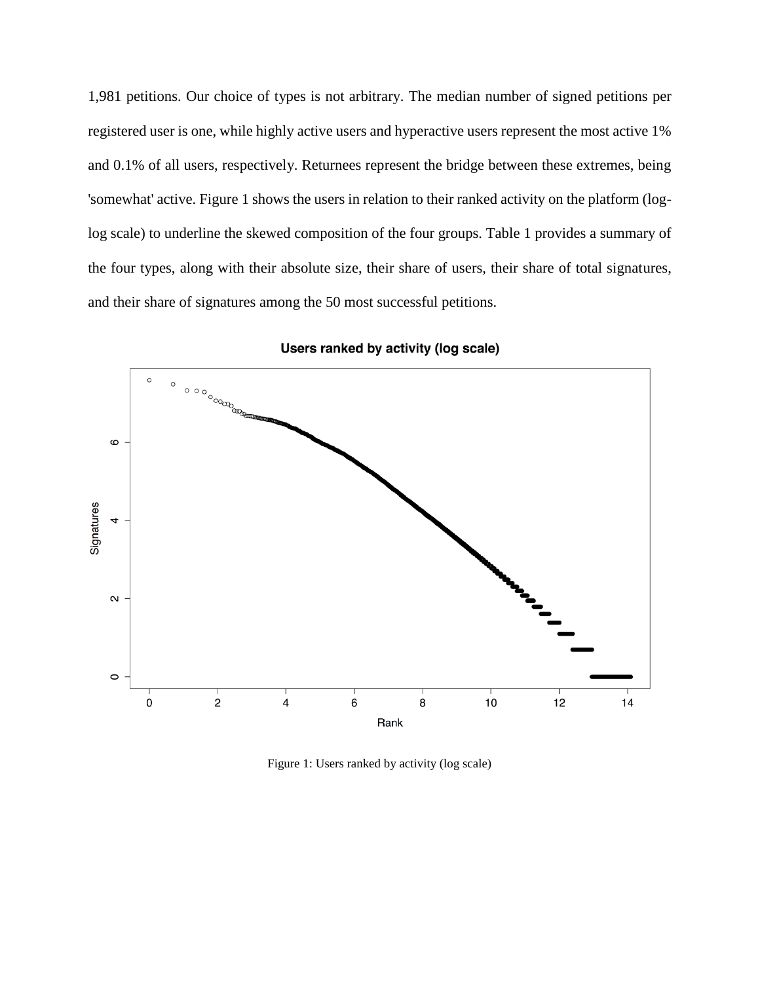1,981 petitions. Our choice of types is not arbitrary. The median number of signed petitions per registered user is one, while highly active users and hyperactive users represent the most active 1% and 0.1% of all users, respectively. Returnees represent the bridge between these extremes, being 'somewhat' active. Figure 1 shows the users in relation to their ranked activity on the platform (loglog scale) to underline the skewed composition of the four groups. Table 1 provides a summary of the four types, along with their absolute size, their share of users, their share of total signatures, and their share of signatures among the 50 most successful petitions.



Users ranked by activity (log scale)

Figure 1: Users ranked by activity (log scale)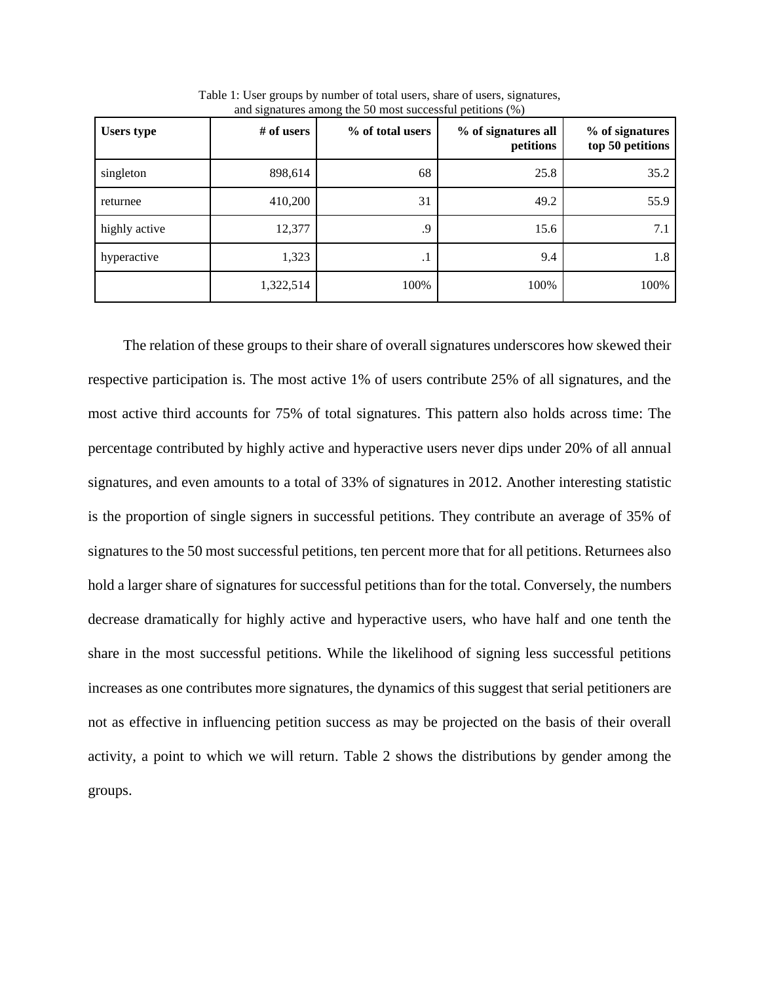| <b>Users type</b> | # of users | ັ<br>% of total users | % of signatures all<br>petitions | % of signatures<br>top 50 petitions |
|-------------------|------------|-----------------------|----------------------------------|-------------------------------------|
| singleton         | 898,614    | 68                    | 25.8                             | 35.2                                |
| returnee          | 410,200    | 31                    | 49.2                             | 55.9                                |
| highly active     | 12,377     | .9                    | 15.6                             | 7.1                                 |
| hyperactive       | 1,323      | . 1                   | 9.4                              | 1.8                                 |
|                   | 1,322,514  | 100%                  | 100%                             | 100%                                |

Table 1: User groups by number of total users, share of users, signatures, and signatures among the 50 most successful petitions  $(\% )$ 

The relation of these groups to their share of overall signatures underscores how skewed their respective participation is. The most active 1% of users contribute 25% of all signatures, and the most active third accounts for 75% of total signatures. This pattern also holds across time: The percentage contributed by highly active and hyperactive users never dips under 20% of all annual signatures, and even amounts to a total of 33% of signatures in 2012. Another interesting statistic is the proportion of single signers in successful petitions. They contribute an average of 35% of signatures to the 50 most successful petitions, ten percent more that for all petitions. Returnees also hold a larger share of signatures for successful petitions than for the total. Conversely, the numbers decrease dramatically for highly active and hyperactive users, who have half and one tenth the share in the most successful petitions. While the likelihood of signing less successful petitions increases as one contributes more signatures, the dynamics of this suggest that serial petitioners are not as effective in influencing petition success as may be projected on the basis of their overall activity, a point to which we will return. Table 2 shows the distributions by gender among the groups.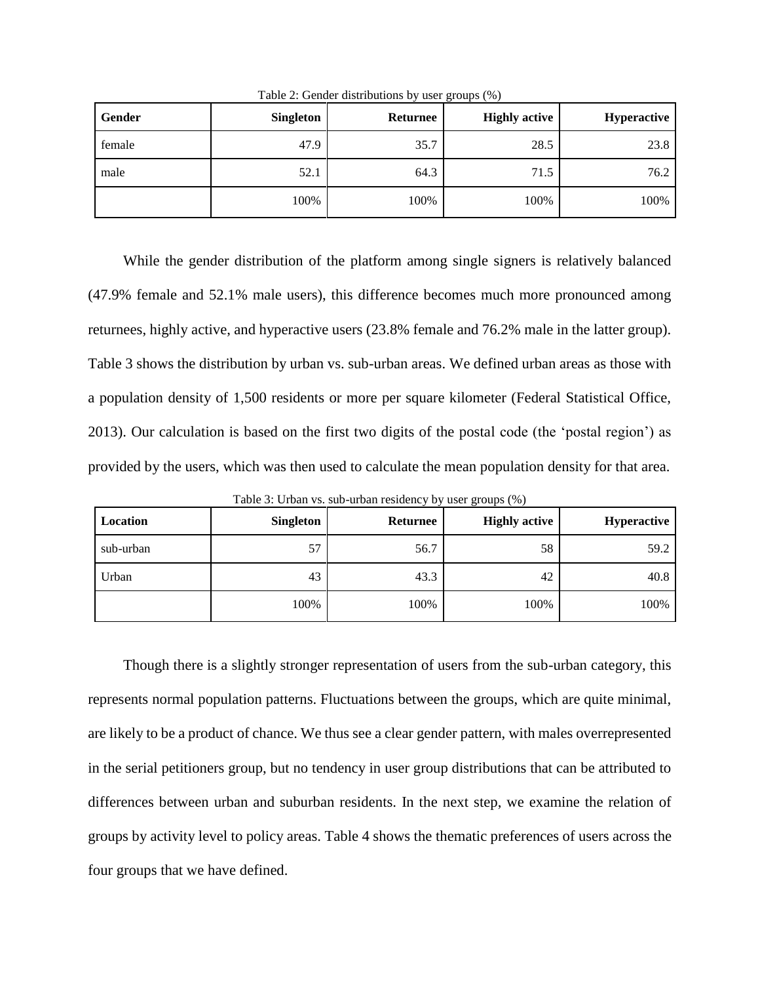| Gender | <b>Singleton</b> | Returnee | <b>Highly active</b> | <b>Hyperactive</b> |
|--------|------------------|----------|----------------------|--------------------|
| female | 47.9             | 35.7     | 28.5                 | 23.8               |
| male   | 52.1             | 64.3     | 71.5                 | 76.2               |
|        | 100%             | 100%     | 100%                 | 100%               |

Table 2: Gender distributions by user groups (%)

While the gender distribution of the platform among single signers is relatively balanced (47.9% female and 52.1% male users), this difference becomes much more pronounced among returnees, highly active, and hyperactive users (23.8% female and 76.2% male in the latter group). Table 3 shows the distribution by urban vs. sub-urban areas. We defined urban areas as those with a population density of 1,500 residents or more per square kilometer (Federal Statistical Office, 2013). Our calculation is based on the first two digits of the postal code (the 'postal region') as provided by the users, which was then used to calculate the mean population density for that area.

Table 3: Urban vs. sub-urban residency by user groups (%)

| Location  | Singleton | <b>Returnee</b> | <b>Highly active</b> | <b>Hyperactive</b> |
|-----------|-----------|-----------------|----------------------|--------------------|
| sub-urban | 57        | 56.7            | 58                   | 59.2               |
| Urban     | 43        | 43.3            | 42                   | 40.8               |
|           | 100%      | 100%            | 100%                 | 100%               |

Though there is a slightly stronger representation of users from the sub-urban category, this represents normal population patterns. Fluctuations between the groups, which are quite minimal, are likely to be a product of chance. We thus see a clear gender pattern, with males overrepresented in the serial petitioners group, but no tendency in user group distributions that can be attributed to differences between urban and suburban residents. In the next step, we examine the relation of groups by activity level to policy areas. Table 4 shows the thematic preferences of users across the four groups that we have defined.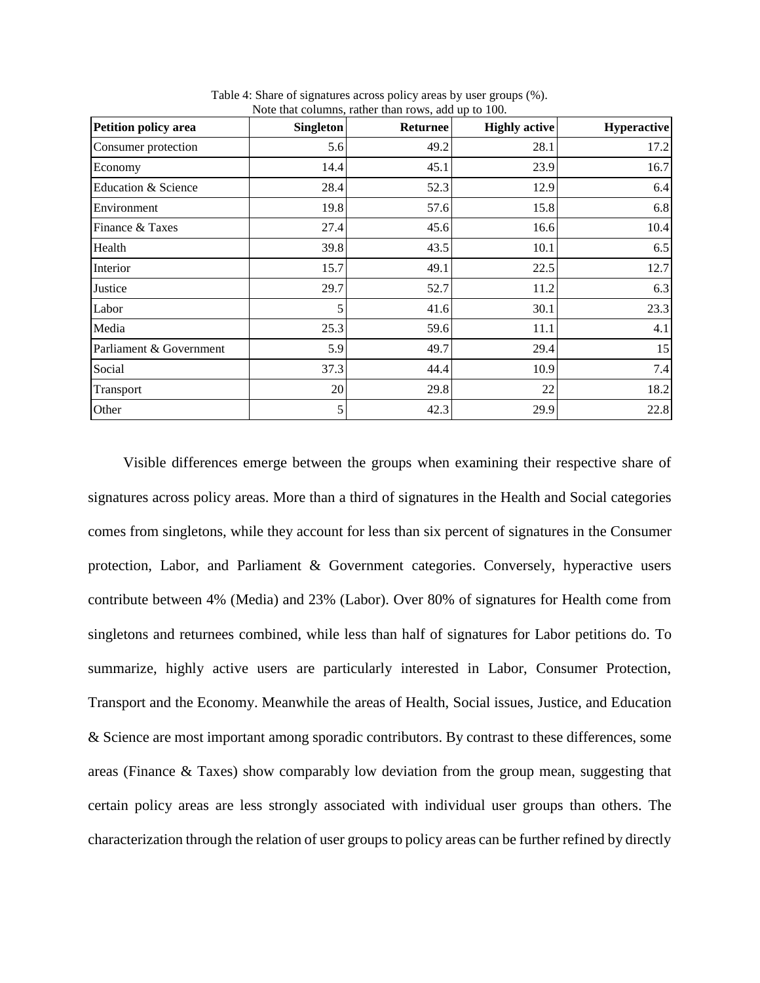| Petition policy area    | <b>Singleton</b> | $1.012$ and conditions, rather than 10 $0.5$ , and ap to 100.<br><b>Returnee</b> | <b>Highly active</b> | Hyperactive |
|-------------------------|------------------|----------------------------------------------------------------------------------|----------------------|-------------|
| Consumer protection     | 5.6              | 49.2                                                                             | 28.1                 | 17.2        |
| Economy                 | 14.4             | 45.1                                                                             | 23.9                 | 16.7        |
| Education & Science     | 28.4             | 52.3                                                                             | 12.9                 | 6.4         |
| Environment             | 19.8             | 57.6                                                                             | 15.8                 | 6.8         |
| Finance & Taxes         | 27.4             | 45.6                                                                             | 16.6                 | 10.4        |
| Health                  | 39.8             | 43.5                                                                             | 10.1                 | 6.5         |
| Interior                | 15.7             | 49.1                                                                             | 22.5                 | 12.7        |
| Justice                 | 29.7             | 52.7                                                                             | 11.2                 | 6.3         |
| Labor                   | 5                | 41.6                                                                             | 30.1                 | 23.3        |
| Media                   | 25.3             | 59.6                                                                             | 11.1                 | 4.1         |
| Parliament & Government | 5.9              | 49.7                                                                             | 29.4                 | 15          |
| Social                  | 37.3             | 44.4                                                                             | 10.9                 | 7.4         |
| Transport               | 20               | 29.8                                                                             | 22                   | 18.2        |
| Other                   | 5                | 42.3                                                                             | 29.9                 | 22.8        |

Table 4: Share of signatures across policy areas by user groups (%). Note that columns, rather than rows, add up to 100.

Visible differences emerge between the groups when examining their respective share of signatures across policy areas. More than a third of signatures in the Health and Social categories comes from singletons, while they account for less than six percent of signatures in the Consumer protection, Labor, and Parliament & Government categories. Conversely, hyperactive users contribute between 4% (Media) and 23% (Labor). Over 80% of signatures for Health come from singletons and returnees combined, while less than half of signatures for Labor petitions do. To summarize, highly active users are particularly interested in Labor, Consumer Protection, Transport and the Economy. Meanwhile the areas of Health, Social issues, Justice, and Education & Science are most important among sporadic contributors. By contrast to these differences, some areas (Finance & Taxes) show comparably low deviation from the group mean, suggesting that certain policy areas are less strongly associated with individual user groups than others. The characterization through the relation of user groups to policy areas can be further refined by directly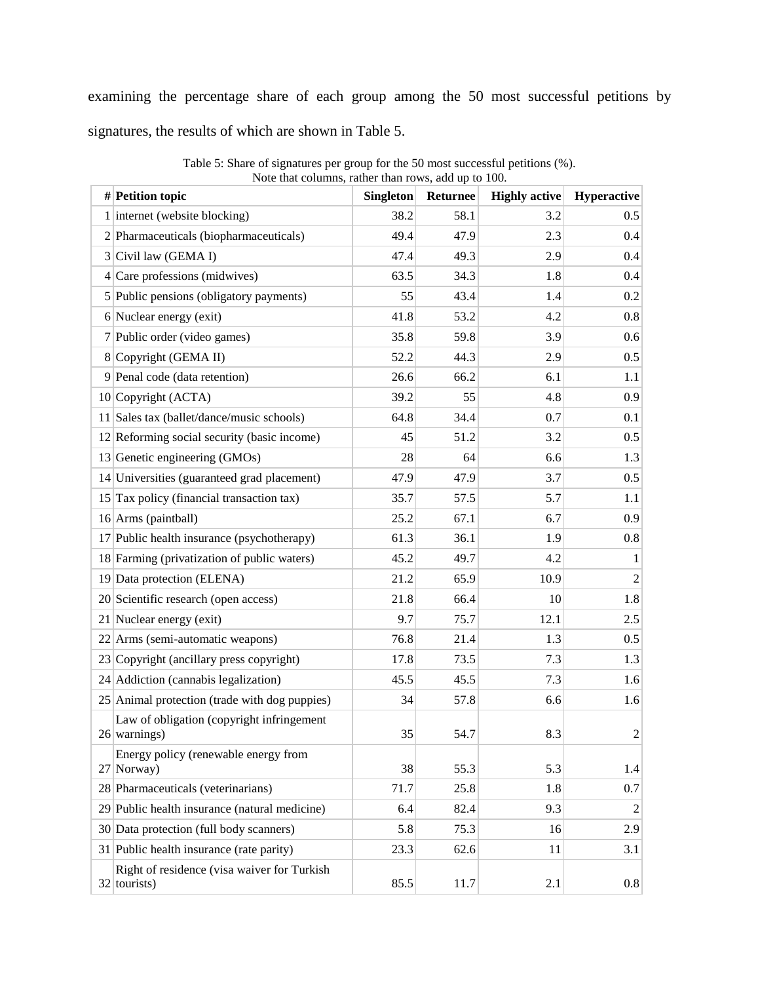examining the percentage share of each group among the 50 most successful petitions by signatures, the results of which are shown in Table 5.

| $#$ Petition topic                                            | <b>Singleton</b> | <b>Returnee</b> | <b>Highly active</b> | Hyperactive    |
|---------------------------------------------------------------|------------------|-----------------|----------------------|----------------|
| 1 internet (website blocking)                                 | 38.2             | 58.1            | 3.2                  | 0.5            |
| 2 Pharmaceuticals (biopharmaceuticals)                        | 49.4             | 47.9            | 2.3                  | 0.4            |
| $3$ Civil law (GEMA I)                                        | 47.4             | 49.3            | 2.9                  | 0.4            |
| $4$ Care professions (midwives)                               | 63.5             | 34.3            | 1.8                  | 0.4            |
| 5 Public pensions (obligatory payments)                       | 55               | 43.4            | 1.4                  | 0.2            |
| 6 Nuclear energy (exit)                                       | 41.8             | 53.2            | 4.2                  | 0.8            |
| 7 Public order (video games)                                  | 35.8             | 59.8            | 3.9                  | 0.6            |
| 8 Copyright (GEMA II)                                         | 52.2             | 44.3            | 2.9                  | 0.5            |
| 9 Penal code (data retention)                                 | 26.6             | 66.2            | 6.1                  | 1.1            |
| 10 Copyright (ACTA)                                           | 39.2             | 55              | 4.8                  | 0.9            |
| 11 Sales tax (ballet/dance/music schools)                     | 64.8             | 34.4            | 0.7                  | 0.1            |
| 12 Reforming social security (basic income)                   | 45               | 51.2            | 3.2                  | 0.5            |
| 13 Genetic engineering (GMOs)                                 | 28               | 64              | 6.6                  | 1.3            |
| 14 Universities (guaranteed grad placement)                   | 47.9             | 47.9            | 3.7                  | 0.5            |
| $15$ Tax policy (financial transaction tax)                   | 35.7             | 57.5            | 5.7                  | 1.1            |
| 16 Arms (paintball)                                           | 25.2             | 67.1            | 6.7                  | 0.9            |
| 17 Public health insurance (psychotherapy)                    | 61.3             | 36.1            | 1.9                  | 0.8            |
| 18 Farming (privatization of public waters)                   | 45.2             | 49.7            | 4.2                  | $\mathbf{1}$   |
| 19 Data protection (ELENA)                                    | 21.2             | 65.9            | 10.9                 | $\overline{2}$ |
| 20 Scientific research (open access)                          | 21.8             | 66.4            | 10                   | 1.8            |
| 21 Nuclear energy (exit)                                      | 9.7              | 75.7            | 12.1                 | 2.5            |
| 22 Arms (semi-automatic weapons)                              | 76.8             | 21.4            | 1.3                  | 0.5            |
| 23 Copyright (ancillary press copyright)                      | 17.8             | 73.5            | 7.3                  | 1.3            |
| 24 Addiction (cannabis legalization)                          | 45.5             | 45.5            | 7.3                  | 1.6            |
| 25 Animal protection (trade with dog puppies)                 | 34               | 57.8            | 6.6                  | 1.6            |
| Law of obligation (copyright infringement<br>$26$ warnings)   | 35               | 54.7            | 8.3                  | $\overline{2}$ |
| Energy policy (renewable energy from<br>27 Norway)            | 38               | 55.3            | 5.3                  | 1.4            |
| 28 Pharmaceuticals (veterinarians)                            | 71.7             | 25.8            | 1.8                  | 0.7            |
| 29 Public health insurance (natural medicine)                 | 6.4              | 82.4            | 9.3                  | 2              |
| 30 Data protection (full body scanners)                       | 5.8              | 75.3            | 16                   | 2.9            |
| 31 Public health insurance (rate parity)                      | 23.3             | 62.6            | 11                   | 3.1            |
| Right of residence (visa waiver for Turkish<br>$32$ tourists) | 85.5             | 11.7            | 2.1                  | 0.8            |

Table 5: Share of signatures per group for the 50 most successful petitions (%). Note that columns, rather than rows, add up to 100.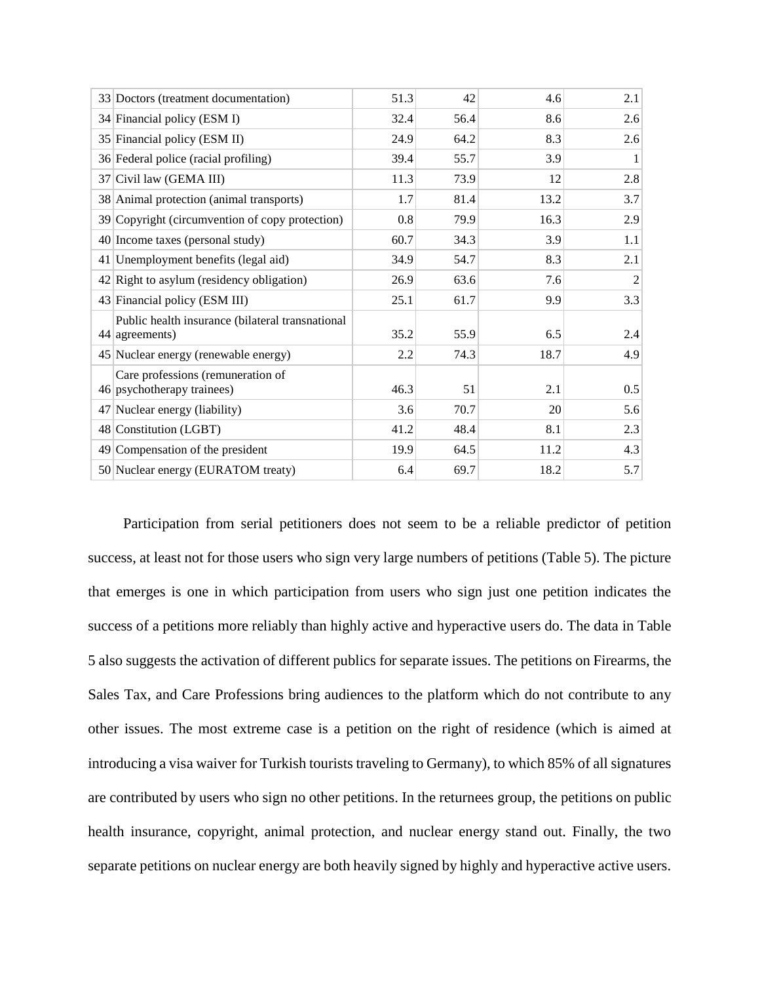| 33 Doctors (treatment documentation)                                 | 51.3 | 42   | 4.6  | 2.1 |
|----------------------------------------------------------------------|------|------|------|-----|
| 34 Financial policy (ESM I)                                          | 32.4 | 56.4 | 8.6  | 2.6 |
| 35 Financial policy (ESM II)                                         | 24.9 | 64.2 | 8.3  | 2.6 |
| 36 Federal police (racial profiling)                                 | 39.4 | 55.7 | 3.9  | 1   |
| 37 Civil law (GEMA III)                                              | 11.3 | 73.9 | 12   | 2.8 |
| 38 Animal protection (animal transports)                             | 1.7  | 81.4 | 13.2 | 3.7 |
| 39 Copyright (circumvention of copy protection)                      | 0.8  | 79.9 | 16.3 | 2.9 |
| 40 Income taxes (personal study)                                     | 60.7 | 34.3 | 3.9  | 1.1 |
| 41 Unemployment benefits (legal aid)                                 | 34.9 | 54.7 | 8.3  | 2.1 |
| 42 Right to asylum (residency obligation)                            | 26.9 | 63.6 | 7.6  | 2   |
| 43 Financial policy (ESM III)                                        | 25.1 | 61.7 | 9.9  | 3.3 |
| Public health insurance (bilateral transnational<br>$44$ agreements) | 35.2 | 55.9 | 6.5  | 2.4 |
| 45 Nuclear energy (renewable energy)                                 | 2.2  | 74.3 | 18.7 | 4.9 |
| Care professions (remuneration of<br>46 psychotherapy trainees)      | 46.3 | 51   | 2.1  | 0.5 |
| 47 Nuclear energy (liability)                                        | 3.6  | 70.7 | 20   | 5.6 |
| 48 Constitution (LGBT)                                               | 41.2 | 48.4 | 8.1  | 2.3 |
| 49 Compensation of the president                                     | 19.9 | 64.5 | 11.2 | 4.3 |
| 50 Nuclear energy (EURATOM treaty)                                   | 6.4  | 69.7 | 18.2 | 5.7 |

Participation from serial petitioners does not seem to be a reliable predictor of petition success, at least not for those users who sign very large numbers of petitions (Table 5). The picture that emerges is one in which participation from users who sign just one petition indicates the success of a petitions more reliably than highly active and hyperactive users do. The data in Table 5 also suggests the activation of different publics for separate issues. The petitions on Firearms, the Sales Tax, and Care Professions bring audiences to the platform which do not contribute to any other issues. The most extreme case is a petition on the right of residence (which is aimed at introducing a visa waiver for Turkish tourists traveling to Germany), to which 85% of all signatures are contributed by users who sign no other petitions. In the returnees group, the petitions on public health insurance, copyright, animal protection, and nuclear energy stand out. Finally, the two separate petitions on nuclear energy are both heavily signed by highly and hyperactive active users.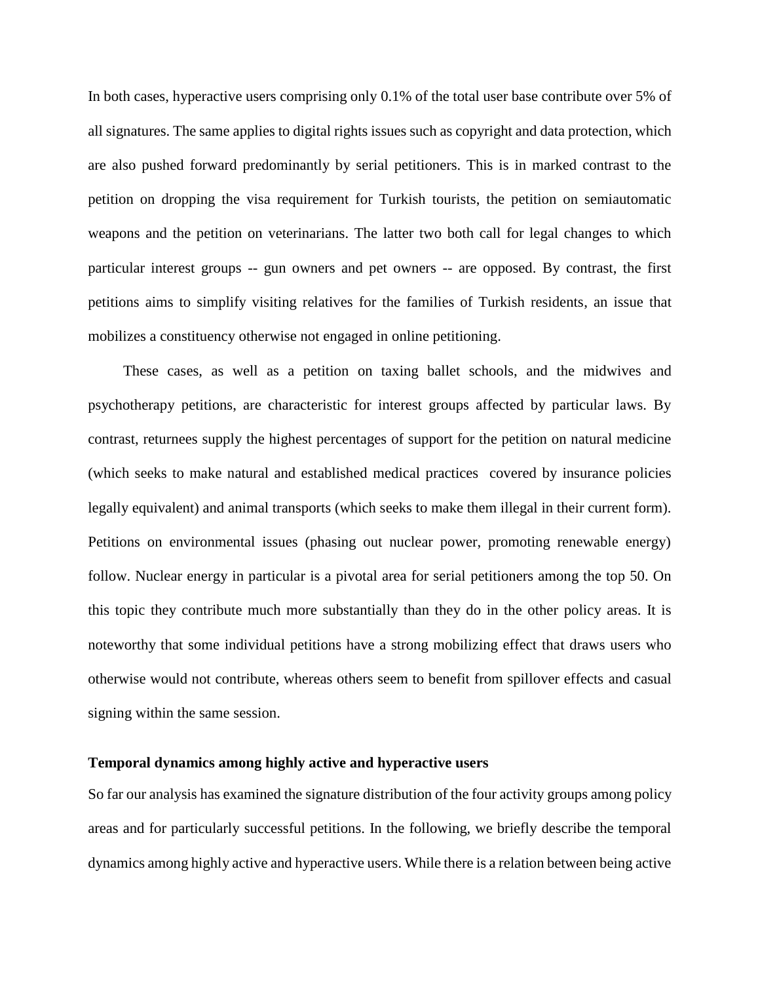In both cases, hyperactive users comprising only 0.1% of the total user base contribute over 5% of all signatures. The same applies to digital rights issues such as copyright and data protection, which are also pushed forward predominantly by serial petitioners. This is in marked contrast to the petition on dropping the visa requirement for Turkish tourists, the petition on semiautomatic weapons and the petition on veterinarians. The latter two both call for legal changes to which particular interest groups -- gun owners and pet owners -- are opposed. By contrast, the first petitions aims to simplify visiting relatives for the families of Turkish residents, an issue that mobilizes a constituency otherwise not engaged in online petitioning.

These cases, as well as a petition on taxing ballet schools, and the midwives and psychotherapy petitions, are characteristic for interest groups affected by particular laws. By contrast, returnees supply the highest percentages of support for the petition on natural medicine (which seeks to make natural and established medical practices covered by insurance policies legally equivalent) and animal transports (which seeks to make them illegal in their current form). Petitions on environmental issues (phasing out nuclear power, promoting renewable energy) follow. Nuclear energy in particular is a pivotal area for serial petitioners among the top 50. On this topic they contribute much more substantially than they do in the other policy areas. It is noteworthy that some individual petitions have a strong mobilizing effect that draws users who otherwise would not contribute, whereas others seem to benefit from spillover effects and casual signing within the same session.

#### **Temporal dynamics among highly active and hyperactive users**

So far our analysis has examined the signature distribution of the four activity groups among policy areas and for particularly successful petitions. In the following, we briefly describe the temporal dynamics among highly active and hyperactive users. While there is a relation between being active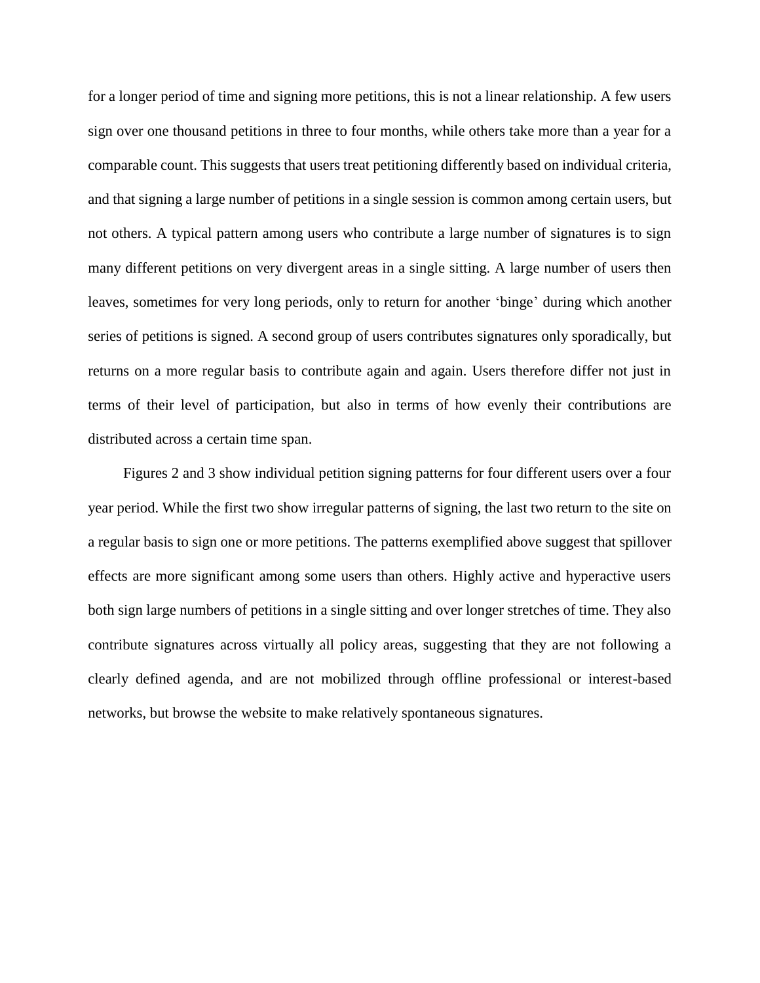for a longer period of time and signing more petitions, this is not a linear relationship. A few users sign over one thousand petitions in three to four months, while others take more than a year for a comparable count. This suggests that users treat petitioning differently based on individual criteria, and that signing a large number of petitions in a single session is common among certain users, but not others. A typical pattern among users who contribute a large number of signatures is to sign many different petitions on very divergent areas in a single sitting. A large number of users then leaves, sometimes for very long periods, only to return for another 'binge' during which another series of petitions is signed. A second group of users contributes signatures only sporadically, but returns on a more regular basis to contribute again and again. Users therefore differ not just in terms of their level of participation, but also in terms of how evenly their contributions are distributed across a certain time span.

Figures 2 and 3 show individual petition signing patterns for four different users over a four year period. While the first two show irregular patterns of signing, the last two return to the site on a regular basis to sign one or more petitions. The patterns exemplified above suggest that spillover effects are more significant among some users than others. Highly active and hyperactive users both sign large numbers of petitions in a single sitting and over longer stretches of time. They also contribute signatures across virtually all policy areas, suggesting that they are not following a clearly defined agenda, and are not mobilized through offline professional or interest-based networks, but browse the website to make relatively spontaneous signatures.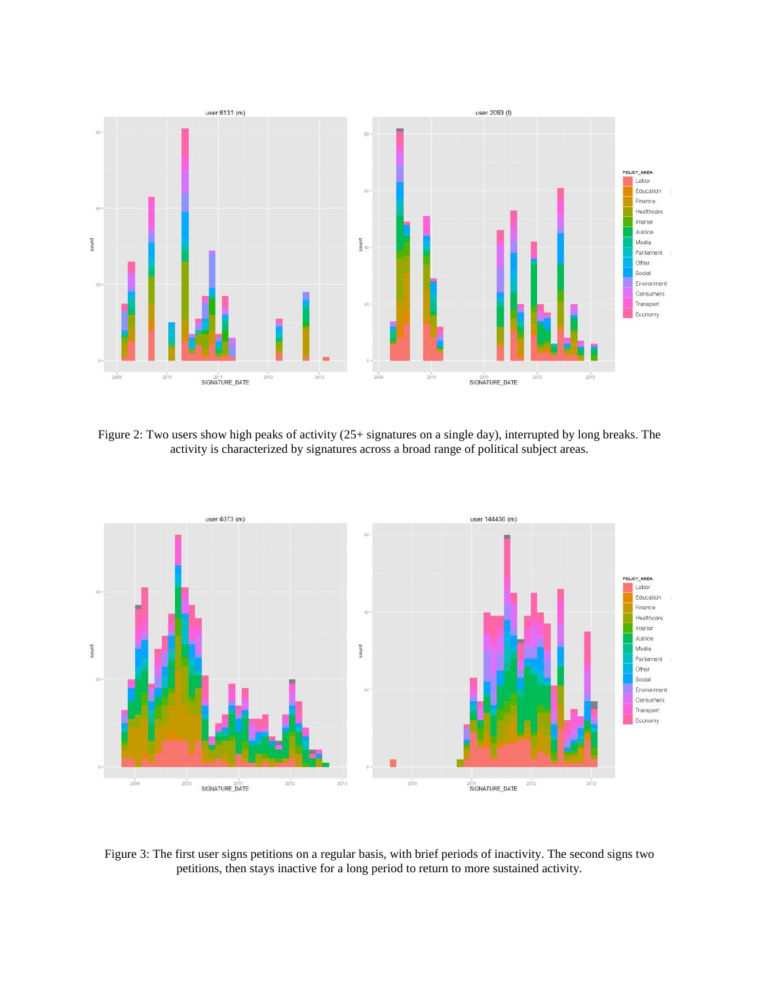

Figure 2: Two users show high peaks of activity (25+ signatures on a single day), interrupted by long breaks. The activity is characterized by signatures across a broad range of political subject areas.



Figure 3: The first user signs petitions on a regular basis, with brief periods of inactivity. The second signs two petitions, then stays inactive for a long period to return to more sustained activity.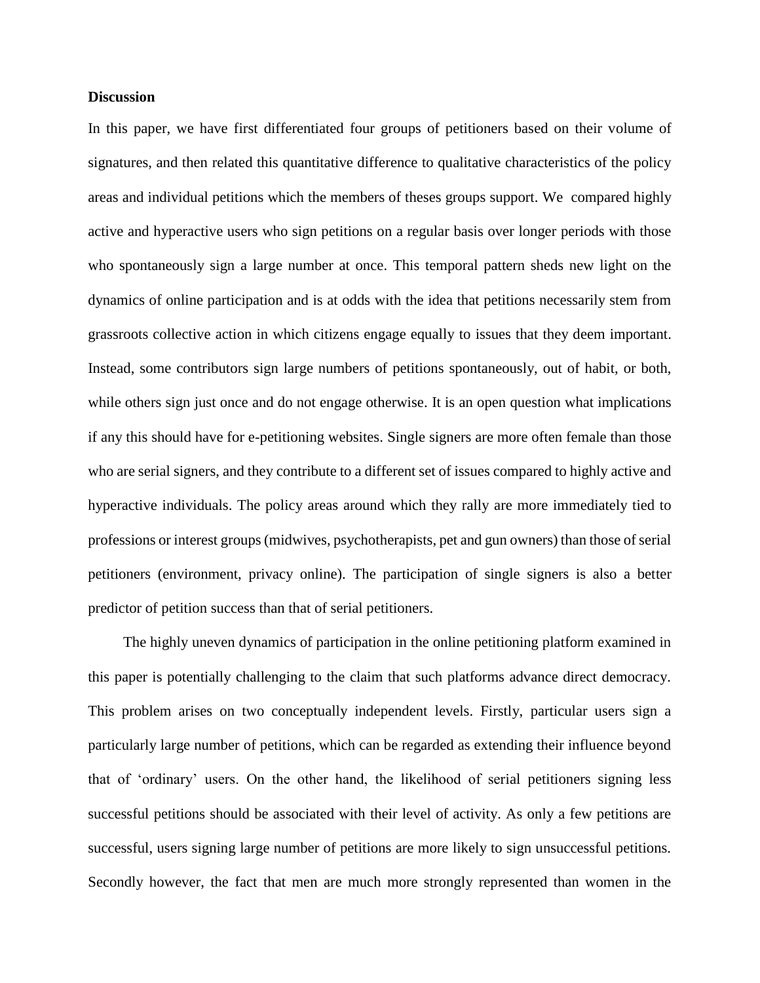## **Discussion**

In this paper, we have first differentiated four groups of petitioners based on their volume of signatures, and then related this quantitative difference to qualitative characteristics of the policy areas and individual petitions which the members of theses groups support. We compared highly active and hyperactive users who sign petitions on a regular basis over longer periods with those who spontaneously sign a large number at once. This temporal pattern sheds new light on the dynamics of online participation and is at odds with the idea that petitions necessarily stem from grassroots collective action in which citizens engage equally to issues that they deem important. Instead, some contributors sign large numbers of petitions spontaneously, out of habit, or both, while others sign just once and do not engage otherwise. It is an open question what implications if any this should have for e-petitioning websites. Single signers are more often female than those who are serial signers, and they contribute to a different set of issues compared to highly active and hyperactive individuals. The policy areas around which they rally are more immediately tied to professions or interest groups (midwives, psychotherapists, pet and gun owners) than those of serial petitioners (environment, privacy online). The participation of single signers is also a better predictor of petition success than that of serial petitioners.

The highly uneven dynamics of participation in the online petitioning platform examined in this paper is potentially challenging to the claim that such platforms advance direct democracy. This problem arises on two conceptually independent levels. Firstly, particular users sign a particularly large number of petitions, which can be regarded as extending their influence beyond that of 'ordinary' users. On the other hand, the likelihood of serial petitioners signing less successful petitions should be associated with their level of activity. As only a few petitions are successful, users signing large number of petitions are more likely to sign unsuccessful petitions. Secondly however, the fact that men are much more strongly represented than women in the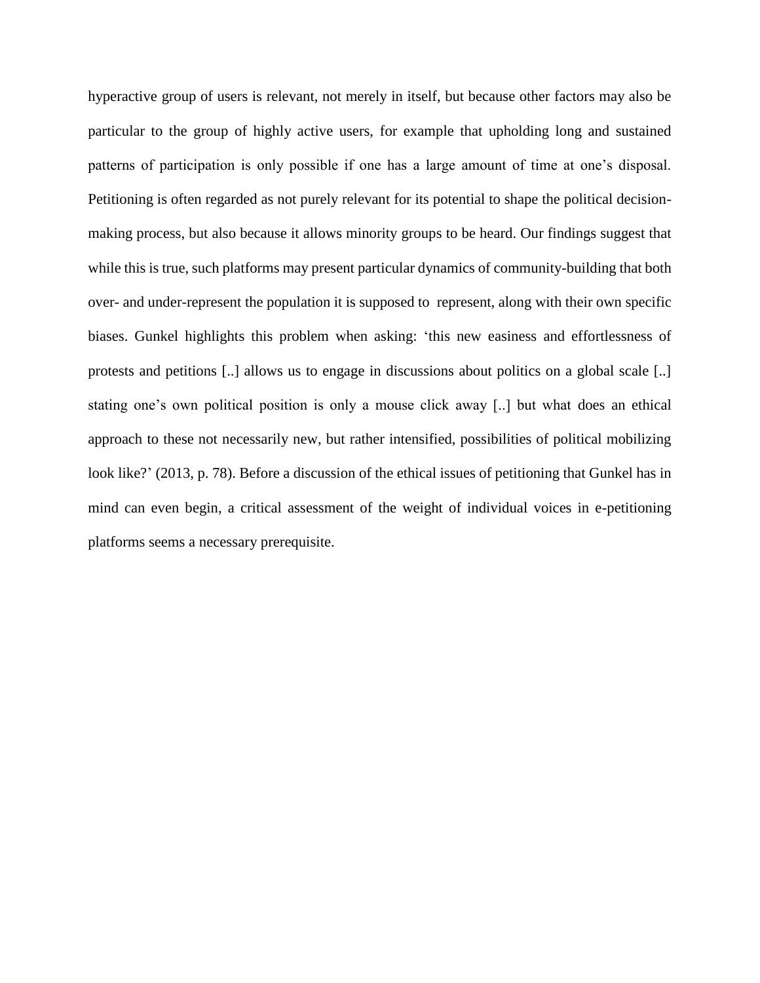hyperactive group of users is relevant, not merely in itself, but because other factors may also be particular to the group of highly active users, for example that upholding long and sustained patterns of participation is only possible if one has a large amount of time at one's disposal. Petitioning is often regarded as not purely relevant for its potential to shape the political decisionmaking process, but also because it allows minority groups to be heard. Our findings suggest that while this is true, such platforms may present particular dynamics of community-building that both over- and under-represent the population it is supposed to represent, along with their own specific biases. Gunkel highlights this problem when asking: 'this new easiness and effortlessness of protests and petitions [..] allows us to engage in discussions about politics on a global scale [..] stating one's own political position is only a mouse click away [..] but what does an ethical approach to these not necessarily new, but rather intensified, possibilities of political mobilizing look like?' (2013, p. 78). Before a discussion of the ethical issues of petitioning that Gunkel has in mind can even begin, a critical assessment of the weight of individual voices in e-petitioning platforms seems a necessary prerequisite.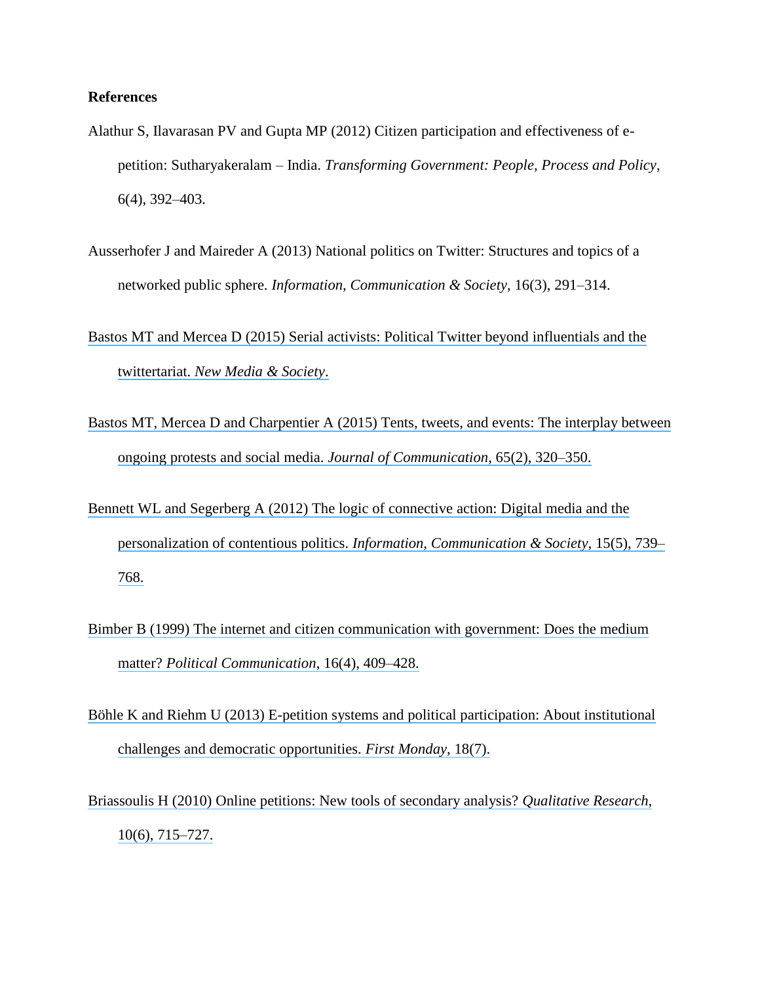## **References**

- Alathur S, Ilavarasan PV and Gupta MP (2012) Citizen participation and effectiveness of epetition: Sutharyakeralam – India. *Transforming Government: People, Process and Policy*, 6(4), 392–403.
- Ausserhofer J and Maireder A (2013) National politics on Twitter: Structures and topics of a networked public sphere. *Information, Communication & Society*, 16(3), 291–314.
- [Bastos MT and Mercea D \(2015\) Serial activists: Political Twitter beyond influentials and the](https://www.researchgate.net/publication/277901298_Serial_activists_Political_Twitter_beyond_influentials_and_the_twittertariat?el=1_x_8&enrichId=rgreq-bbd46a15905916549b6b3827777e58f7-XXX&enrichSource=Y292ZXJQYWdlOzI5NjY5NjA0NTtBUzozMzU2Mjk0NzgwNTU5MzZAMTQ1NzAzMTcxMTI1Mw==) twittertariat. *[New Media & Society](https://www.researchgate.net/publication/277901298_Serial_activists_Political_Twitter_beyond_influentials_and_the_twittertariat?el=1_x_8&enrichId=rgreq-bbd46a15905916549b6b3827777e58f7-XXX&enrichSource=Y292ZXJQYWdlOzI5NjY5NjA0NTtBUzozMzU2Mjk0NzgwNTU5MzZAMTQ1NzAzMTcxMTI1Mw==)*.
- [Bastos MT, Mercea D and Charpentier A \(2015\) Tents, tweets, and events: The interplay between](https://www.researchgate.net/publication/273159093_Tents_Tweets_and_Events_The_Interplay_Between_Ongoing_Protests_and_Social_Media_Tents_Tweets_and_Events?el=1_x_8&enrichId=rgreq-bbd46a15905916549b6b3827777e58f7-XXX&enrichSource=Y292ZXJQYWdlOzI5NjY5NjA0NTtBUzozMzU2Mjk0NzgwNTU5MzZAMTQ1NzAzMTcxMTI1Mw==)  [ongoing protests and social media.](https://www.researchgate.net/publication/273159093_Tents_Tweets_and_Events_The_Interplay_Between_Ongoing_Protests_and_Social_Media_Tents_Tweets_and_Events?el=1_x_8&enrichId=rgreq-bbd46a15905916549b6b3827777e58f7-XXX&enrichSource=Y292ZXJQYWdlOzI5NjY5NjA0NTtBUzozMzU2Mjk0NzgwNTU5MzZAMTQ1NzAzMTcxMTI1Mw==) *Journal of Communication*, 65(2), 320–350.
- [Bennett WL and Segerberg A \(2012\) The logic of connective action: Digital media and the](https://www.researchgate.net/publication/287393379_The_logic_of_connective_action_Digital_media_and_the_personalization_of_contentious_politics?el=1_x_8&enrichId=rgreq-bbd46a15905916549b6b3827777e58f7-XXX&enrichSource=Y292ZXJQYWdlOzI5NjY5NjA0NTtBUzozMzU2Mjk0NzgwNTU5MzZAMTQ1NzAzMTcxMTI1Mw==) personalization of contentious politics. *[Information, Communication & Society](https://www.researchgate.net/publication/287393379_The_logic_of_connective_action_Digital_media_and_the_personalization_of_contentious_politics?el=1_x_8&enrichId=rgreq-bbd46a15905916549b6b3827777e58f7-XXX&enrichSource=Y292ZXJQYWdlOzI5NjY5NjA0NTtBUzozMzU2Mjk0NzgwNTU5MzZAMTQ1NzAzMTcxMTI1Mw==)*, 15(5), 739– [768.](https://www.researchgate.net/publication/287393379_The_logic_of_connective_action_Digital_media_and_the_personalization_of_contentious_politics?el=1_x_8&enrichId=rgreq-bbd46a15905916549b6b3827777e58f7-XXX&enrichSource=Y292ZXJQYWdlOzI5NjY5NjA0NTtBUzozMzU2Mjk0NzgwNTU5MzZAMTQ1NzAzMTcxMTI1Mw==)
- Bimber B (1999) The internet [and citizen communication with](https://www.researchgate.net/publication/231381849_The_Internet_and_Citizen_Communication_With_Government_Does_the_Medium_Matter?el=1_x_8&enrichId=rgreq-bbd46a15905916549b6b3827777e58f7-XXX&enrichSource=Y292ZXJQYWdlOzI5NjY5NjA0NTtBUzozMzU2Mjk0NzgwNTU5MzZAMTQ1NzAzMTcxMTI1Mw==) government: Does the medium matter? *[Political Communication](https://www.researchgate.net/publication/231381849_The_Internet_and_Citizen_Communication_With_Government_Does_the_Medium_Matter?el=1_x_8&enrichId=rgreq-bbd46a15905916549b6b3827777e58f7-XXX&enrichSource=Y292ZXJQYWdlOzI5NjY5NjA0NTtBUzozMzU2Mjk0NzgwNTU5MzZAMTQ1NzAzMTcxMTI1Mw==)*, 16(4), 409–428.
- [Böhle K and Riehm U \(2013\) E-petition systems and political participation: About institutional](https://www.researchgate.net/publication/250612263_E-petition_systems_and_political_participation_About_institutional_challenges_and_democratic_opportunities?el=1_x_8&enrichId=rgreq-bbd46a15905916549b6b3827777e58f7-XXX&enrichSource=Y292ZXJQYWdlOzI5NjY5NjA0NTtBUzozMzU2Mjk0NzgwNTU5MzZAMTQ1NzAzMTcxMTI1Mw==) [challenges and democratic opportunities.](https://www.researchgate.net/publication/250612263_E-petition_systems_and_political_participation_About_institutional_challenges_and_democratic_opportunities?el=1_x_8&enrichId=rgreq-bbd46a15905916549b6b3827777e58f7-XXX&enrichSource=Y292ZXJQYWdlOzI5NjY5NjA0NTtBUzozMzU2Mjk0NzgwNTU5MzZAMTQ1NzAzMTcxMTI1Mw==) *First Monday*, 18(7).
- [Briassoulis H \(2010\) Online petitions: New tools of secondary analysis?](https://www.researchgate.net/publication/258182200_Online_petitions_New_tools_of_secondary_analysis?el=1_x_8&enrichId=rgreq-bbd46a15905916549b6b3827777e58f7-XXX&enrichSource=Y292ZXJQYWdlOzI5NjY5NjA0NTtBUzozMzU2Mjk0NzgwNTU5MzZAMTQ1NzAzMTcxMTI1Mw==) *Qualitative Research*, [10\(6\), 715–727.](https://www.researchgate.net/publication/258182200_Online_petitions_New_tools_of_secondary_analysis?el=1_x_8&enrichId=rgreq-bbd46a15905916549b6b3827777e58f7-XXX&enrichSource=Y292ZXJQYWdlOzI5NjY5NjA0NTtBUzozMzU2Mjk0NzgwNTU5MzZAMTQ1NzAzMTcxMTI1Mw==)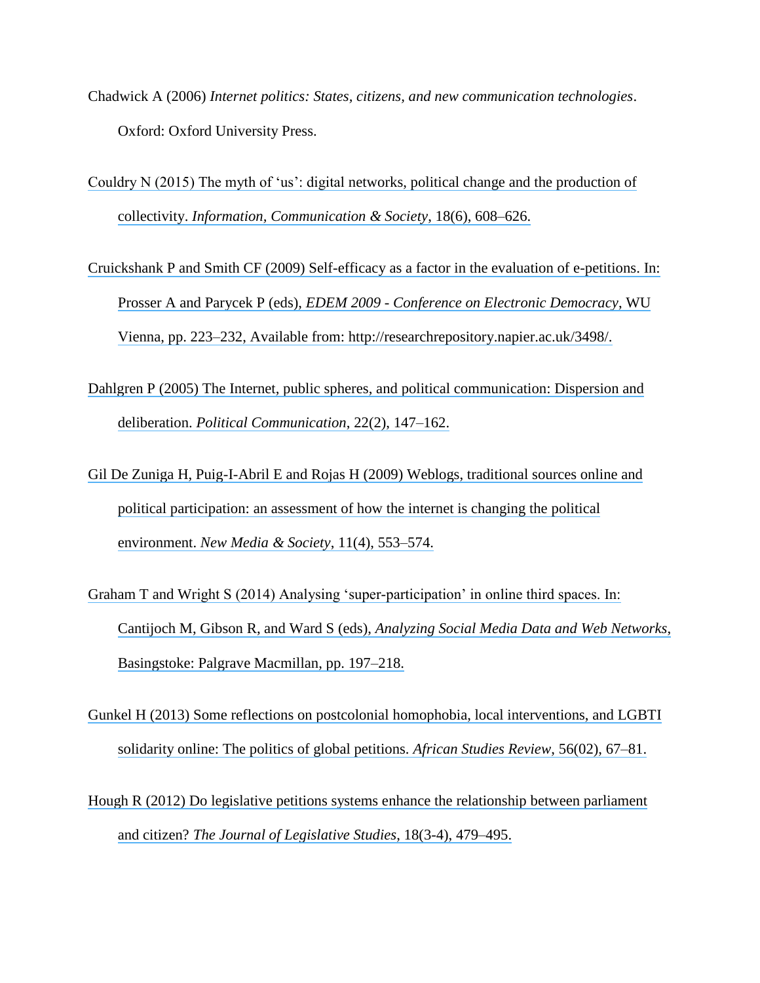- Chadwick A (2006) *Internet politics: States, citizens, and new communication technologies*. Oxford: Oxford University Press.
- [Couldry N \(2015\) The myth of 'us': digital networks, political change and the production of](https://www.researchgate.net/publication/274098889_The_myth_of_) collectivity. *[Information, Communication & Society](https://www.researchgate.net/publication/274098889_The_myth_of_)*, 18(6), 608–626.
- [Cruickshank P and Smith CF \(2009\) Self-efficacy as a factor in the evaluation of e-petitions. In:](https://www.researchgate.net/publication/252161670_SELF-EFFICACY_AS_A_FACTOR_IN_THE_EVALUATION_OF_E-PETITIONS?el=1_x_8&enrichId=rgreq-bbd46a15905916549b6b3827777e58f7-XXX&enrichSource=Y292ZXJQYWdlOzI5NjY5NjA0NTtBUzozMzU2Mjk0NzgwNTU5MzZAMTQ1NzAzMTcxMTI1Mw==) Prosser A and Parycek P (eds), *EDEM 2009 - [Conference on Electronic Democracy](https://www.researchgate.net/publication/252161670_SELF-EFFICACY_AS_A_FACTOR_IN_THE_EVALUATION_OF_E-PETITIONS?el=1_x_8&enrichId=rgreq-bbd46a15905916549b6b3827777e58f7-XXX&enrichSource=Y292ZXJQYWdlOzI5NjY5NjA0NTtBUzozMzU2Mjk0NzgwNTU5MzZAMTQ1NzAzMTcxMTI1Mw==)*, WU [Vienna, pp. 223–232, Available from: http://researchrepository.napier.ac.uk/3498/.](https://www.researchgate.net/publication/252161670_SELF-EFFICACY_AS_A_FACTOR_IN_THE_EVALUATION_OF_E-PETITIONS?el=1_x_8&enrichId=rgreq-bbd46a15905916549b6b3827777e58f7-XXX&enrichSource=Y292ZXJQYWdlOzI5NjY5NjA0NTtBUzozMzU2Mjk0NzgwNTU5MzZAMTQ1NzAzMTcxMTI1Mw==)
- [Dahlgren P \(2005\) The Internet, public spheres, and political communication: Dispersion and](https://www.researchgate.net/publication/231382022_The_Internet_Public_Spheres_and_Political_Communication_Dispersion_and_Deliberation?el=1_x_8&enrichId=rgreq-bbd46a15905916549b6b3827777e58f7-XXX&enrichSource=Y292ZXJQYWdlOzI5NjY5NjA0NTtBUzozMzU2Mjk0NzgwNTU5MzZAMTQ1NzAzMTcxMTI1Mw==) deliberation. *[Political Communication](https://www.researchgate.net/publication/231382022_The_Internet_Public_Spheres_and_Political_Communication_Dispersion_and_Deliberation?el=1_x_8&enrichId=rgreq-bbd46a15905916549b6b3827777e58f7-XXX&enrichSource=Y292ZXJQYWdlOzI5NjY5NjA0NTtBUzozMzU2Mjk0NzgwNTU5MzZAMTQ1NzAzMTcxMTI1Mw==)*, 22(2), 147–162.
- [Gil De Zuniga H, Puig-I-Abril E and Rojas H \(2009\) Weblogs, traditional sources online and](https://www.researchgate.net/publication/235338021_Weblogs_Traditional_Sources_Online_and_Political_Participation_An_Assessment_of_How_the_Internet_Is_Changing_the_Political_Environment?el=1_x_8&enrichId=rgreq-bbd46a15905916549b6b3827777e58f7-XXX&enrichSource=Y292ZXJQYWdlOzI5NjY5NjA0NTtBUzozMzU2Mjk0NzgwNTU5MzZAMTQ1NzAzMTcxMTI1Mw==) [political participation: an assessment of how the internet is changing the political](https://www.researchgate.net/publication/235338021_Weblogs_Traditional_Sources_Online_and_Political_Participation_An_Assessment_of_How_the_Internet_Is_Changing_the_Political_Environment?el=1_x_8&enrichId=rgreq-bbd46a15905916549b6b3827777e58f7-XXX&enrichSource=Y292ZXJQYWdlOzI5NjY5NjA0NTtBUzozMzU2Mjk0NzgwNTU5MzZAMTQ1NzAzMTcxMTI1Mw==)  environment. *[New Media & Society](https://www.researchgate.net/publication/235338021_Weblogs_Traditional_Sources_Online_and_Political_Participation_An_Assessment_of_How_the_Internet_Is_Changing_the_Political_Environment?el=1_x_8&enrichId=rgreq-bbd46a15905916549b6b3827777e58f7-XXX&enrichSource=Y292ZXJQYWdlOzI5NjY5NjA0NTtBUzozMzU2Mjk0NzgwNTU5MzZAMTQ1NzAzMTcxMTI1Mw==)*, 11(4), 553–574.
- [Graham T and Wright S \(2014\) Analysing 'super-participation' in online third spaces. In:](https://www.researchgate.net/publication/264196271_Analysing_) Cantijoch M, Gibson R, and Ward S (eds), *[Analyzing Social Media Data and Web Networks](https://www.researchgate.net/publication/264196271_Analysing_)*, [Basingstoke: Palgrave Macmillan, pp. 197–218.](https://www.researchgate.net/publication/264196271_Analysing_)
- [Gunkel H \(2013\) Some reflections on postcolonial homophobia, local interventions, and LGBTI](https://www.researchgate.net/publication/259435392_Some_Reflections_on_Postcolonial_Homophobia_Local_Interventions_and_LGBTI_Solidarity_Online_The_Politics_of_Global_Petitions?el=1_x_8&enrichId=rgreq-bbd46a15905916549b6b3827777e58f7-XXX&enrichSource=Y292ZXJQYWdlOzI5NjY5NjA0NTtBUzozMzU2Mjk0NzgwNTU5MzZAMTQ1NzAzMTcxMTI1Mw==) [solidarity online: The politics of global petitions.](https://www.researchgate.net/publication/259435392_Some_Reflections_on_Postcolonial_Homophobia_Local_Interventions_and_LGBTI_Solidarity_Online_The_Politics_of_Global_Petitions?el=1_x_8&enrichId=rgreq-bbd46a15905916549b6b3827777e58f7-XXX&enrichSource=Y292ZXJQYWdlOzI5NjY5NjA0NTtBUzozMzU2Mjk0NzgwNTU5MzZAMTQ1NzAzMTcxMTI1Mw==) *African Studies Review*, 56(02), 67–81.
- [Hough R \(2012\) Do legislative petitions systems enhance the relationship between parliament](https://www.researchgate.net/publication/263149206_Do_Legislative_Petitions_Systems_Enhance_the_Relationship_between_Parliament_and_Citizen?el=1_x_8&enrichId=rgreq-bbd46a15905916549b6b3827777e58f7-XXX&enrichSource=Y292ZXJQYWdlOzI5NjY5NjA0NTtBUzozMzU2Mjk0NzgwNTU5MzZAMTQ1NzAzMTcxMTI1Mw==)  and citizen? *[The Journal of Legislative Studies](https://www.researchgate.net/publication/263149206_Do_Legislative_Petitions_Systems_Enhance_the_Relationship_between_Parliament_and_Citizen?el=1_x_8&enrichId=rgreq-bbd46a15905916549b6b3827777e58f7-XXX&enrichSource=Y292ZXJQYWdlOzI5NjY5NjA0NTtBUzozMzU2Mjk0NzgwNTU5MzZAMTQ1NzAzMTcxMTI1Mw==)*, 18(3-4), 479–495.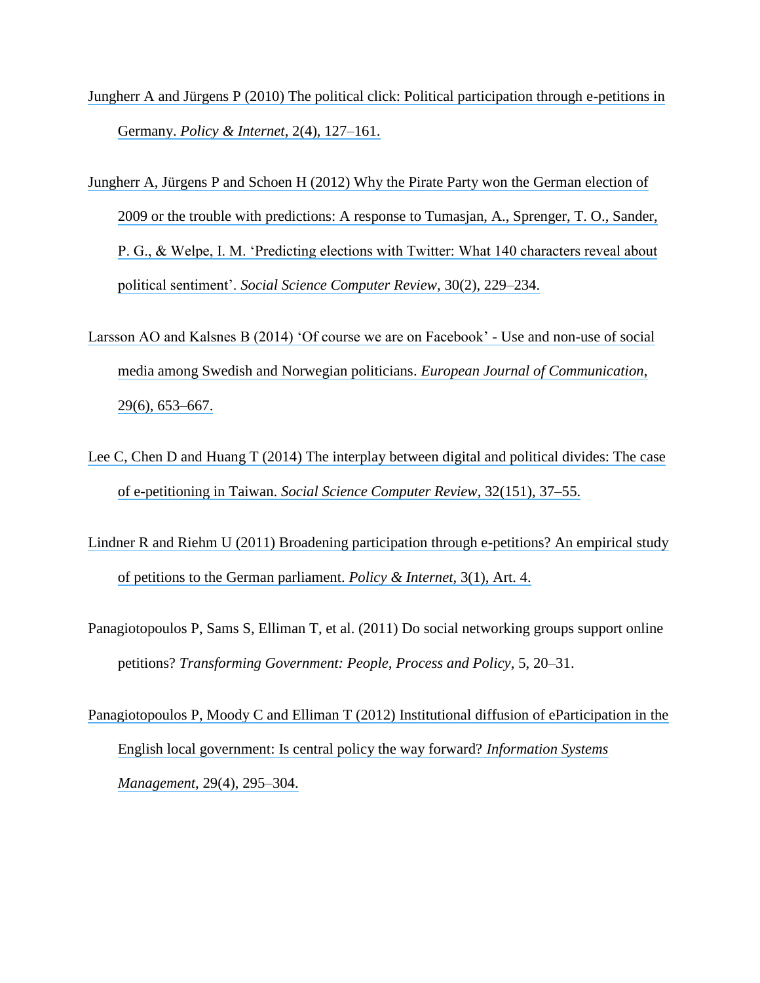- [Jungherr A and Jürgens P \(2010\) The political click: Political participation through e-petitions in](https://www.researchgate.net/publication/220006927_The_Political_Click_Political_Participation_Through_E-Petitions_in_Germany?el=1_x_8&enrichId=rgreq-bbd46a15905916549b6b3827777e58f7-XXX&enrichSource=Y292ZXJQYWdlOzI5NjY5NjA0NTtBUzozMzU2Mjk0NzgwNTU5MzZAMTQ1NzAzMTcxMTI1Mw==)  Germany. *[Policy & Internet](https://www.researchgate.net/publication/220006927_The_Political_Click_Political_Participation_Through_E-Petitions_in_Germany?el=1_x_8&enrichId=rgreq-bbd46a15905916549b6b3827777e58f7-XXX&enrichSource=Y292ZXJQYWdlOzI5NjY5NjA0NTtBUzozMzU2Mjk0NzgwNTU5MzZAMTQ1NzAzMTcxMTI1Mw==)*, 2(4), 127–161.
- [Jungherr A, Jürgens P and Schoen H \(2012\) Why the Pirate Party won the German election of](https://www.researchgate.net/publication/220006925_Why_the_Pirate_Party_Won_the_German_Election_of_2009_or_The_Trouble_With_Predictions_A_Response_to_Tumasjan_A_Sprenger_TO_Sander_PG_Welpe_IM_Predicting_Elections_With_Twitter_What_140_Characters_Revea?el=1_x_8&enrichId=rgreq-bbd46a15905916549b6b3827777e58f7-XXX&enrichSource=Y292ZXJQYWdlOzI5NjY5NjA0NTtBUzozMzU2Mjk0NzgwNTU5MzZAMTQ1NzAzMTcxMTI1Mw==)  [2009 or the trouble with predictions: A response to Tumasjan, A., Sprenger, T. O., Sander,](https://www.researchgate.net/publication/220006925_Why_the_Pirate_Party_Won_the_German_Election_of_2009_or_The_Trouble_With_Predictions_A_Response_to_Tumasjan_A_Sprenger_TO_Sander_PG_Welpe_IM_Predicting_Elections_With_Twitter_What_140_Characters_Revea?el=1_x_8&enrichId=rgreq-bbd46a15905916549b6b3827777e58f7-XXX&enrichSource=Y292ZXJQYWdlOzI5NjY5NjA0NTtBUzozMzU2Mjk0NzgwNTU5MzZAMTQ1NzAzMTcxMTI1Mw==) [P. G., & Welpe, I. M. 'Predicting elections with Twitter: What 140 characters reveal about](https://www.researchgate.net/publication/220006925_Why_the_Pirate_Party_Won_the_German_Election_of_2009_or_The_Trouble_With_Predictions_A_Response_to_Tumasjan_A_Sprenger_TO_Sander_PG_Welpe_IM_Predicting_Elections_With_Twitter_What_140_Characters_Revea?el=1_x_8&enrichId=rgreq-bbd46a15905916549b6b3827777e58f7-XXX&enrichSource=Y292ZXJQYWdlOzI5NjY5NjA0NTtBUzozMzU2Mjk0NzgwNTU5MzZAMTQ1NzAzMTcxMTI1Mw==)  political sentiment'. *[Social Science Computer Review](https://www.researchgate.net/publication/220006925_Why_the_Pirate_Party_Won_the_German_Election_of_2009_or_The_Trouble_With_Predictions_A_Response_to_Tumasjan_A_Sprenger_TO_Sander_PG_Welpe_IM_Predicting_Elections_With_Twitter_What_140_Characters_Revea?el=1_x_8&enrichId=rgreq-bbd46a15905916549b6b3827777e58f7-XXX&enrichSource=Y292ZXJQYWdlOzI5NjY5NjA0NTtBUzozMzU2Mjk0NzgwNTU5MzZAMTQ1NzAzMTcxMTI1Mw==)*, 30(2), 229–234.
- [Larsson AO and Kalsnes B \(2014\) 'Of course we are on Facebook' -](https://www.researchgate.net/publication/275458120_) Use and non-use of social [media among Swedish and Norwegian politicians.](https://www.researchgate.net/publication/275458120_) *European Journal of Communication*, [29\(6\), 653–667.](https://www.researchgate.net/publication/275458120_)
- [Lee C, Chen D and Huang T \(2014\) The interplay between digital and political divides: The case](https://www.researchgate.net/publication/261960609_The_Interplay_Between_Digital_and_Political_Divides_The_Case_of_e-Petitioning_in_Taiwan?el=1_x_8&enrichId=rgreq-bbd46a15905916549b6b3827777e58f7-XXX&enrichSource=Y292ZXJQYWdlOzI5NjY5NjA0NTtBUzozMzU2Mjk0NzgwNTU5MzZAMTQ1NzAzMTcxMTI1Mw==) of e-petitioning in Taiwan. *[Social Science Computer Review](https://www.researchgate.net/publication/261960609_The_Interplay_Between_Digital_and_Political_Divides_The_Case_of_e-Petitioning_in_Taiwan?el=1_x_8&enrichId=rgreq-bbd46a15905916549b6b3827777e58f7-XXX&enrichSource=Y292ZXJQYWdlOzI5NjY5NjA0NTtBUzozMzU2Mjk0NzgwNTU5MzZAMTQ1NzAzMTcxMTI1Mw==)*, 32(151), 37–55.
- [Lindner R and Riehm U \(2011\) Broadening participation through e-petitions? An empirical study](https://www.researchgate.net/publication/229046187_Broadening_Participation_Through_E-Petitions_An_Empirical_Study_of_Petitions_to_the_German_Parliament?el=1_x_8&enrichId=rgreq-bbd46a15905916549b6b3827777e58f7-XXX&enrichSource=Y292ZXJQYWdlOzI5NjY5NjA0NTtBUzozMzU2Mjk0NzgwNTU5MzZAMTQ1NzAzMTcxMTI1Mw==)  [of petitions to the German parliament.](https://www.researchgate.net/publication/229046187_Broadening_Participation_Through_E-Petitions_An_Empirical_Study_of_Petitions_to_the_German_Parliament?el=1_x_8&enrichId=rgreq-bbd46a15905916549b6b3827777e58f7-XXX&enrichSource=Y292ZXJQYWdlOzI5NjY5NjA0NTtBUzozMzU2Mjk0NzgwNTU5MzZAMTQ1NzAzMTcxMTI1Mw==) *Policy & Internet*, 3(1), Art. 4.
- Panagiotopoulos P, Sams S, Elliman T, et al. (2011) Do social networking groups support online petitions? *Transforming Government: People, Process and Policy*, 5, 20–31.
- [Panagiotopoulos P, Moody C and Elliman T \(2012\) Institutional diffusion of eParticipation in the](https://www.researchgate.net/publication/263193718_Institutional_Diffusion_of_eParticipation_in_the_English_Local_Government_Is_Central_Policy_the_Way_Forward?el=1_x_8&enrichId=rgreq-bbd46a15905916549b6b3827777e58f7-XXX&enrichSource=Y292ZXJQYWdlOzI5NjY5NjA0NTtBUzozMzU2Mjk0NzgwNTU5MzZAMTQ1NzAzMTcxMTI1Mw==)  [English local government: Is central policy the way forward?](https://www.researchgate.net/publication/263193718_Institutional_Diffusion_of_eParticipation_in_the_English_Local_Government_Is_Central_Policy_the_Way_Forward?el=1_x_8&enrichId=rgreq-bbd46a15905916549b6b3827777e58f7-XXX&enrichSource=Y292ZXJQYWdlOzI5NjY5NjA0NTtBUzozMzU2Mjk0NzgwNTU5MzZAMTQ1NzAzMTcxMTI1Mw==) *Information Systems Management*[, 29\(4\), 295–304.](https://www.researchgate.net/publication/263193718_Institutional_Diffusion_of_eParticipation_in_the_English_Local_Government_Is_Central_Policy_the_Way_Forward?el=1_x_8&enrichId=rgreq-bbd46a15905916549b6b3827777e58f7-XXX&enrichSource=Y292ZXJQYWdlOzI5NjY5NjA0NTtBUzozMzU2Mjk0NzgwNTU5MzZAMTQ1NzAzMTcxMTI1Mw==)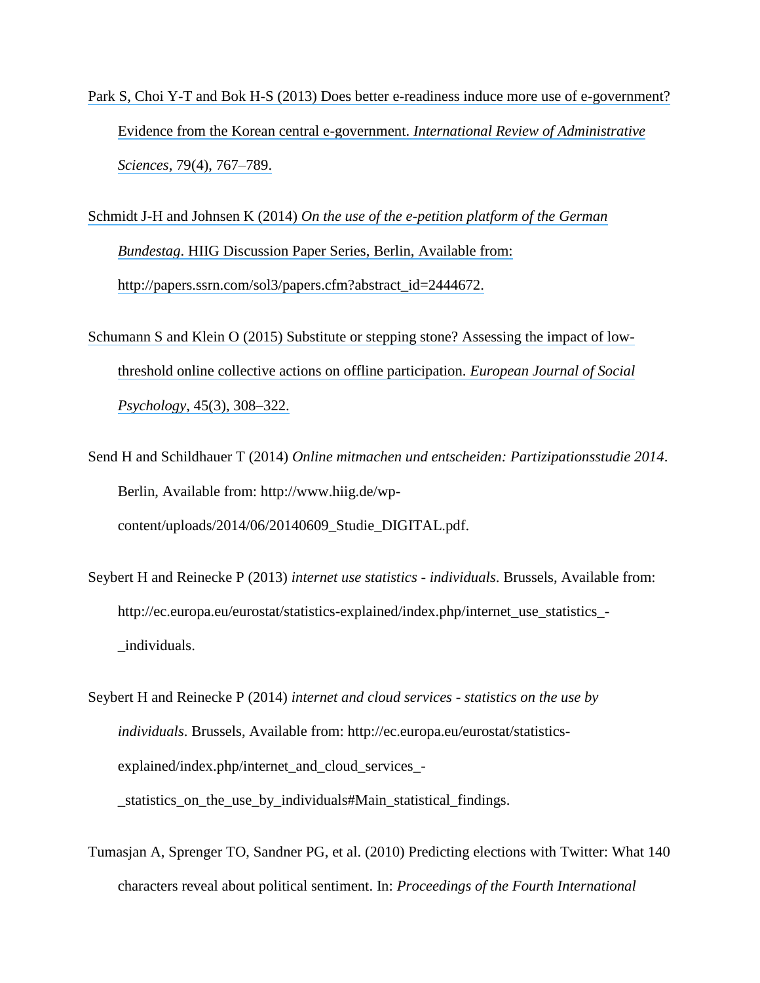[Park S, Choi Y-T and Bok H-S \(2013\) Does better e-readiness induce more use of e-government?](https://www.researchgate.net/publication/275006004_Does_better_e-readiness_induce_more_use_of_e-government_Evidence_from_the_Korean_central_e-government?el=1_x_8&enrichId=rgreq-bbd46a15905916549b6b3827777e58f7-XXX&enrichSource=Y292ZXJQYWdlOzI5NjY5NjA0NTtBUzozMzU2Mjk0NzgwNTU5MzZAMTQ1NzAzMTcxMTI1Mw==) [Evidence from the Korean central e-government.](https://www.researchgate.net/publication/275006004_Does_better_e-readiness_induce_more_use_of_e-government_Evidence_from_the_Korean_central_e-government?el=1_x_8&enrichId=rgreq-bbd46a15905916549b6b3827777e58f7-XXX&enrichSource=Y292ZXJQYWdlOzI5NjY5NjA0NTtBUzozMzU2Mjk0NzgwNTU5MzZAMTQ1NzAzMTcxMTI1Mw==) *International Review of Administrative Sciences*[, 79\(4\), 767–789.](https://www.researchgate.net/publication/275006004_Does_better_e-readiness_induce_more_use_of_e-government_Evidence_from_the_Korean_central_e-government?el=1_x_8&enrichId=rgreq-bbd46a15905916549b6b3827777e58f7-XXX&enrichSource=Y292ZXJQYWdlOzI5NjY5NjA0NTtBUzozMzU2Mjk0NzgwNTU5MzZAMTQ1NzAzMTcxMTI1Mw==)

Schmidt J-H and Johnsen K (2014) *[On the use of the e-petition platform of the German](https://www.researchgate.net/publication/272306121_On_the_Use_of_the_E-Petition_Platform_of_the_German_Bundestag?el=1_x_8&enrichId=rgreq-bbd46a15905916549b6b3827777e58f7-XXX&enrichSource=Y292ZXJQYWdlOzI5NjY5NjA0NTtBUzozMzU2Mjk0NzgwNTU5MzZAMTQ1NzAzMTcxMTI1Mw==)  Bundestag*[. HIIG Discussion Paper Series, Berlin, Available from:](https://www.researchgate.net/publication/272306121_On_the_Use_of_the_E-Petition_Platform_of_the_German_Bundestag?el=1_x_8&enrichId=rgreq-bbd46a15905916549b6b3827777e58f7-XXX&enrichSource=Y292ZXJQYWdlOzI5NjY5NjA0NTtBUzozMzU2Mjk0NzgwNTU5MzZAMTQ1NzAzMTcxMTI1Mw==) [http://papers.ssrn.com/sol3/papers.cfm?abstract\\_id=2444672.](https://www.researchgate.net/publication/272306121_On_the_Use_of_the_E-Petition_Platform_of_the_German_Bundestag?el=1_x_8&enrichId=rgreq-bbd46a15905916549b6b3827777e58f7-XXX&enrichSource=Y292ZXJQYWdlOzI5NjY5NjA0NTtBUzozMzU2Mjk0NzgwNTU5MzZAMTQ1NzAzMTcxMTI1Mw==)

- [Schumann S and Klein O \(2015\) Substitute or stepping stone? Assessing the impact of low](https://www.researchgate.net/publication/269274696_Substitute_or_stepping_stone_Assessing_the_impact_of_low-threshold_online_collective_actions_on_offline_participation_Substitute_or_stepping_stone?el=1_x_8&enrichId=rgreq-bbd46a15905916549b6b3827777e58f7-XXX&enrichSource=Y292ZXJQYWdlOzI5NjY5NjA0NTtBUzozMzU2Mjk0NzgwNTU5MzZAMTQ1NzAzMTcxMTI1Mw==)[threshold online collective actions on offline participation.](https://www.researchgate.net/publication/269274696_Substitute_or_stepping_stone_Assessing_the_impact_of_low-threshold_online_collective_actions_on_offline_participation_Substitute_or_stepping_stone?el=1_x_8&enrichId=rgreq-bbd46a15905916549b6b3827777e58f7-XXX&enrichSource=Y292ZXJQYWdlOzI5NjY5NjA0NTtBUzozMzU2Mjk0NzgwNTU5MzZAMTQ1NzAzMTcxMTI1Mw==) *European Journal of Social Psychology*[, 45\(3\), 308–322.](https://www.researchgate.net/publication/269274696_Substitute_or_stepping_stone_Assessing_the_impact_of_low-threshold_online_collective_actions_on_offline_participation_Substitute_or_stepping_stone?el=1_x_8&enrichId=rgreq-bbd46a15905916549b6b3827777e58f7-XXX&enrichSource=Y292ZXJQYWdlOzI5NjY5NjA0NTtBUzozMzU2Mjk0NzgwNTU5MzZAMTQ1NzAzMTcxMTI1Mw==)
- Send H and Schildhauer T (2014) *Online mitmachen und entscheiden: Partizipationsstudie 2014*. Berlin, Available from: http://www.hiig.de/wpcontent/uploads/2014/06/20140609\_Studie\_DIGITAL.pdf.
- Seybert H and Reinecke P (2013) *internet use statistics - individuals*. Brussels, Available from: http://ec.europa.eu/eurostat/statistics-explained/index.php/internet\_use\_statistics\_- \_individuals.

Seybert H and Reinecke P (2014) *internet and cloud services - statistics on the use by individuals*. Brussels, Available from: http://ec.europa.eu/eurostat/statisticsexplained/index.php/internet\_and\_cloud\_services\_-\_statistics\_on\_the\_use\_by\_individuals#Main\_statistical\_findings.

Tumasjan A, Sprenger TO, Sandner PG, et al. (2010) Predicting elections with Twitter: What 140 characters reveal about political sentiment. In: *Proceedings of the Fourth International*